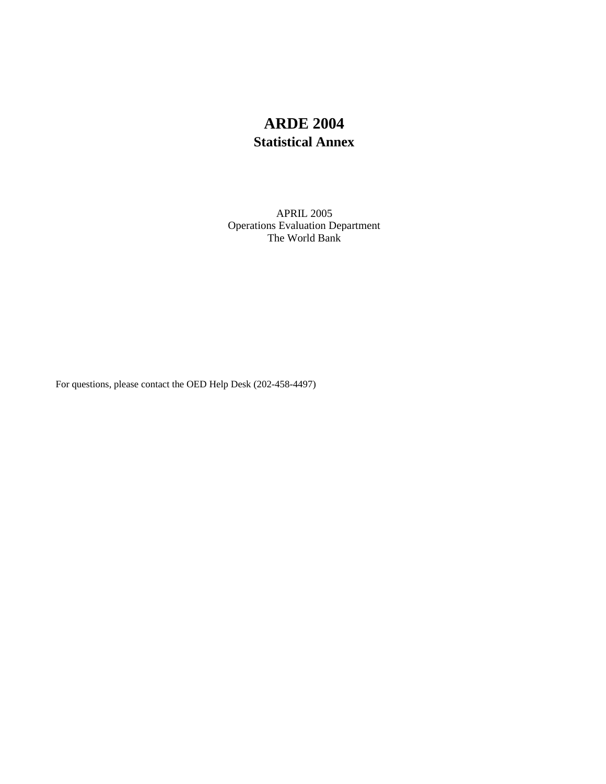# **ARDE 2004 Statistical Annex**

The World Bank APRIL 2005 Operations Evaluation Department

For questions, please contact the OED Help Desk (202-458-4497)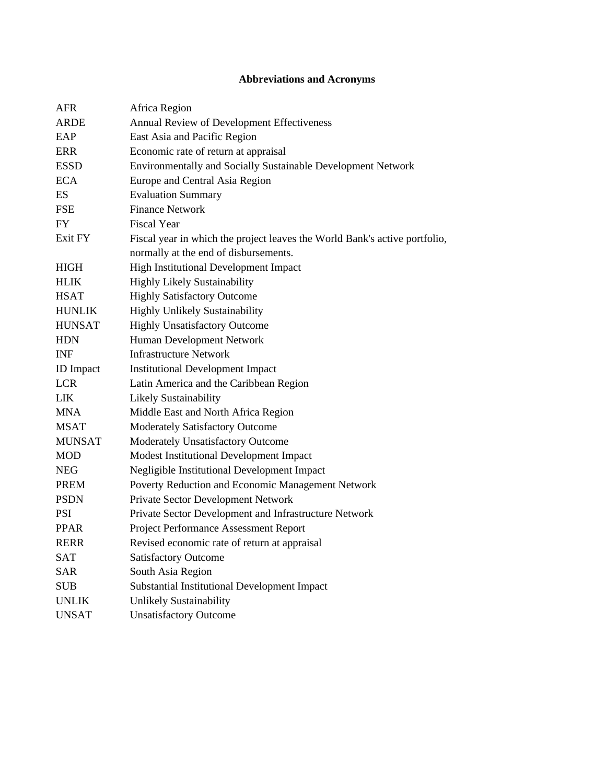## **Abbreviations and Acronyms**

| <b>AFR</b>       | Africa Region                                                              |
|------------------|----------------------------------------------------------------------------|
| <b>ARDE</b>      | Annual Review of Development Effectiveness                                 |
| EAP              | East Asia and Pacific Region                                               |
| <b>ERR</b>       | Economic rate of return at appraisal                                       |
| <b>ESSD</b>      | Environmentally and Socially Sustainable Development Network               |
| <b>ECA</b>       | Europe and Central Asia Region                                             |
| ES               | <b>Evaluation Summary</b>                                                  |
| <b>FSE</b>       | <b>Finance Network</b>                                                     |
| <b>FY</b>        | <b>Fiscal Year</b>                                                         |
| Exit FY          | Fiscal year in which the project leaves the World Bank's active portfolio, |
|                  | normally at the end of disbursements.                                      |
| <b>HIGH</b>      | High Institutional Development Impact                                      |
| <b>HLIK</b>      | <b>Highly Likely Sustainability</b>                                        |
| <b>HSAT</b>      | <b>Highly Satisfactory Outcome</b>                                         |
| <b>HUNLIK</b>    | Highly Unlikely Sustainability                                             |
| <b>HUNSAT</b>    | <b>Highly Unsatisfactory Outcome</b>                                       |
| <b>HDN</b>       | Human Development Network                                                  |
| <b>INF</b>       | <b>Infrastructure Network</b>                                              |
| <b>ID</b> Impact | <b>Institutional Development Impact</b>                                    |
| <b>LCR</b>       | Latin America and the Caribbean Region                                     |
| <b>LIK</b>       | Likely Sustainability                                                      |
| MNA              | Middle East and North Africa Region                                        |
| <b>MSAT</b>      | <b>Moderately Satisfactory Outcome</b>                                     |
| <b>MUNSAT</b>    | Moderately Unsatisfactory Outcome                                          |
| <b>MOD</b>       | Modest Institutional Development Impact                                    |
| <b>NEG</b>       | Negligible Institutional Development Impact                                |
| <b>PREM</b>      | Poverty Reduction and Economic Management Network                          |
| <b>PSDN</b>      | Private Sector Development Network                                         |
| PSI              | Private Sector Development and Infrastructure Network                      |
| <b>PPAR</b>      | Project Performance Assessment Report                                      |
| <b>RERR</b>      | Revised economic rate of return at appraisal                               |
| <b>SAT</b>       | <b>Satisfactory Outcome</b>                                                |
| SAR              | South Asia Region                                                          |
| <b>SUB</b>       | Substantial Institutional Development Impact                               |
| <b>UNLIK</b>     | Unlikely Sustainability                                                    |
| <b>UNSAT</b>     | <b>Unsatisfactory Outcome</b>                                              |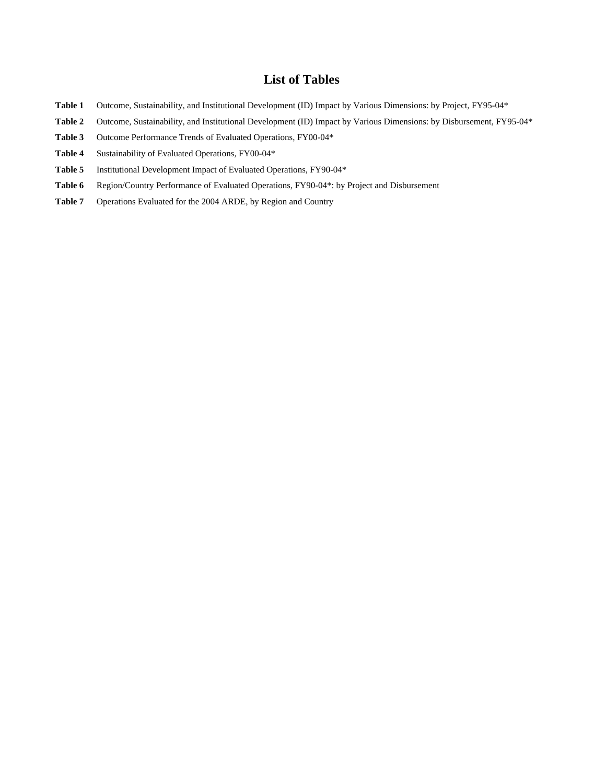### **List of Tables**

- Table 1 Outcome, Sustainability, and Institutional Development (ID) Impact by Various Dimensions: by Project, FY95-04\*
- Table 2 Outcome, Sustainability, and Institutional Development (ID) Impact by Various Dimensions: by Disbursement, FY95-04\*
- **Table 3** Outcome Performance Trends of Evaluated Operations, FY00-04\*
- **Table 4** Sustainability of Evaluated Operations, FY00-04\*
- **Table 5** Institutional Development Impact of Evaluated Operations, FY90-04\*
- Table 6 Region/Country Performance of Evaluated Operations, FY90-04\*: by Project and Disbursement
- **Table 7** Operations Evaluated for the 2004 ARDE, by Region and Country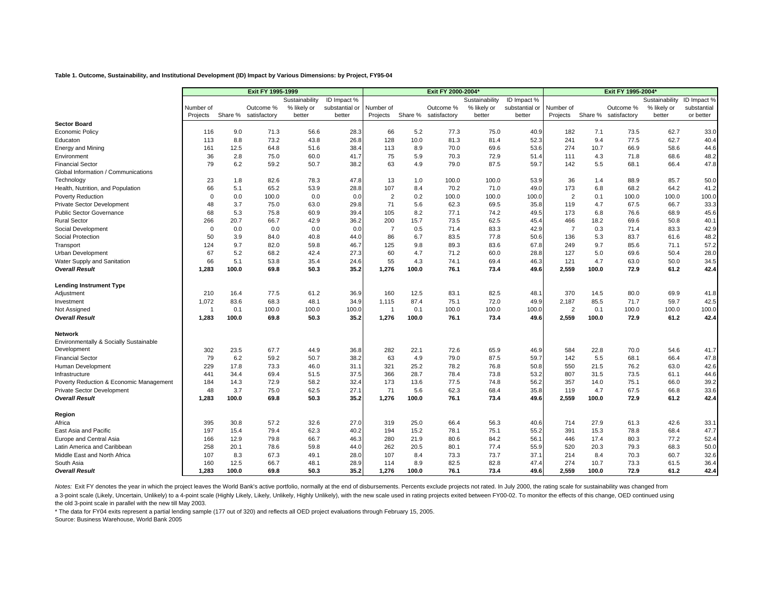#### **Table 1. Outcome, Sustainability, and Institutional Development (ID) Impact by Various Dimensions: by Project, FY95-04**

|                                         | Exit FY 1995-1999 |         |              |                |                |                |         | Exit FY 2000-2004* |                |                | Exit FY 1995-2004* |         |              |                |             |
|-----------------------------------------|-------------------|---------|--------------|----------------|----------------|----------------|---------|--------------------|----------------|----------------|--------------------|---------|--------------|----------------|-------------|
|                                         |                   |         |              | Sustainability | ID Impact %    |                |         |                    | Sustainability | ID Impact %    |                    |         |              | Sustainability | ID Impact % |
|                                         | Number of         |         | Outcome %    | % likely or    | substantial or | Number of      |         | Outcome %          | % likely or    | substantial or | Number of          |         | Outcome %    | % likely or    | substantial |
|                                         | Projects          | Share % | satisfactory | better         | better         | Projects       | Share % | satisfactory       | better         | better         | Projects           | Share % | satisfactory | better         | or better   |
| <b>Sector Board</b>                     |                   |         |              |                |                |                |         |                    |                |                |                    |         |              |                |             |
| <b>Economic Policy</b>                  | 116               | 9.0     | 71.3         | 56.6           | 28.3           | 66             | 5.2     | 77.3               | 75.0           | 40.9           | 182                | 7.1     | 73.5         | 62.7           | 33.0        |
| Educaton                                | 113               | 8.8     | 73.2         | 43.8           | 26.8           | 128            | 10.0    | 81.3               | 81.4           | 52.3           | 241                | 9.4     | 77.5         | 62.7           | 40.4        |
| <b>Energy and Mining</b>                | 161               | 12.5    | 64.8         | 51.6           | 38.4           | 113            | 8.9     | 70.0               | 69.6           | 53.6           | 274                | 10.7    | 66.9         | 58.6           | 44.6        |
| Environment                             | 36                | 2.8     | 75.0         | 60.0           | 41.7           | 75             | 5.9     | 70.3               | 72.9           | 51.4           | 111                | 4.3     | 71.8         | 68.6           | 48.2        |
| <b>Financial Sector</b>                 | 79                | 6.2     | 59.2         | 50.7           | 38.2           | 63             | 4.9     | 79.0               | 87.5           | 59.7           | 142                | 5.5     | 68.1         | 66.4           | 47.8        |
| Global Information / Communications     |                   |         |              |                |                |                |         |                    |                |                |                    |         |              |                |             |
| Technology                              | 23                | 1.8     | 82.6         | 78.3           | 47.8           | 13             | 1.0     | 100.0              | 100.0          | 53.9           | 36                 | 1.4     | 88.9         | 85.7           | 50.0        |
| Health, Nutrition, and Population       | 66                | 5.1     | 65.2         | 53.9           | 28.8           | 107            | 8.4     | 70.2               | 71.0           | 49.0           | 173                | 6.8     | 68.2         | 64.2           | 41.2        |
| Poverty Reduction                       | $\Omega$          | 0.0     | 100.0        | 0.0            | 0.0            | $\overline{2}$ | 0.2     | 100.0              | 100.0          | 100.0          | $\overline{2}$     | 0.1     | 100.0        | 100.0          | 100.0       |
| <b>Private Sector Development</b>       | 48                | 3.7     | 75.0         | 63.0           | 29.8           | 71             | 5.6     | 62.3               | 69.5           | 35.8           | 119                | 4.7     | 67.5         | 66.7           | 33.3        |
| <b>Public Sector Governance</b>         | 68                | 5.3     | 75.8         | 60.9           | 39.4           | 105            | 8.2     | 77.1               | 74.2           | 49.5           | 173                | 6.8     | 76.6         | 68.9           | 45.6        |
| <b>Rural Sector</b>                     | 266               | 20.7    | 66.7         | 42.9           | 36.2           | 200            | 15.7    | 73.5               | 62.5           | 45.4           | 466                | 18.2    | 69.6         | 50.8           | 40.1        |
| Social Development                      | $\Omega$          | 0.0     | 0.0          | 0.0            | 0.0            | $\overline{7}$ | 0.5     | 71.4               | 83.3           | 42.9           | $\overline{7}$     | 0.3     | 71.4         | 83.3           | 42.9        |
| Social Protection                       | 50                | 3.9     | 84.0         | 40.8           | 44.0           | 86             | 6.7     | 83.5               | 77.8           | 50.6           | 136                | 5.3     | 83.7         | 61.6           | 48.2        |
| Transport                               | 124               | 9.7     | 82.0         | 59.8           | 46.7           | 125            | 9.8     | 89.3               | 83.6           | 67.8           | 249                | 9.7     | 85.6         | 71.1           | 57.2        |
| Urban Development                       | 67                | 5.2     | 68.2         | 42.4           | 27.3           | 60             | 4.7     | 71.2               | 60.0           | 28.8           | 127                | 5.0     | 69.6         | 50.4           | 28.0        |
| Water Supply and Sanitation             | 66                | 5.1     | 53.8         | 35.4           | 24.6           | 55             | 4.3     | 74.1               | 69.4           | 46.3           | 121                | 4.7     | 63.0         | 50.0           | 34.5        |
| <b>Overall Result</b>                   | 1.283             | 100.0   | 69.8         | 50.3           | 35.2           | 1,276          | 100.0   | 76.1               | 73.4           | 49.6           | 2.559              | 100.0   | 72.9         | 61.2           | 42.4        |
| <b>Lending Instrument Type</b>          |                   |         |              |                |                |                |         |                    |                |                |                    |         |              |                |             |
| Adjustment                              | 210               | 16.4    | 77.5         | 61.2           | 36.9           | 160            | 12.5    | 83.1               | 82.5           | 48.1           | 370                | 14.5    | 80.0         | 69.9           | 41.8        |
| Investment                              | 1,072             | 83.6    | 68.3         | 48.1           | 34.9           | 1,115          | 87.4    | 75.1               | 72.0           | 49.9           | 2,187              | 85.5    | 71.7         | 59.7           | 42.5        |
| Not Assigned                            | -1                | 0.1     | 100.0        | 100.0          | 100.0          | $\overline{1}$ | 0.1     | 100.0              | 100.0          | 100.0          | 2                  | 0.1     | 100.0        | 100.0          | 100.0       |
| <b>Overall Result</b>                   | 1.283             | 100.0   | 69.8         | 50.3           | 35.2           | 1,276          | 100.0   | 76.1               | 73.4           | 49.6           | 2,559              | 100.0   | 72.9         | 61.2           | 42.4        |
| Network                                 |                   |         |              |                |                |                |         |                    |                |                |                    |         |              |                |             |
| Environmentally & Socially Sustainable  |                   |         |              |                |                |                |         |                    |                |                |                    |         |              |                |             |
| Development                             | 302               | 23.5    | 67.7         | 44.9           | 36.8           | 282            | 22.1    | 72.6               | 65.9           | 46.9           | 584                | 22.8    | 70.0         | 54.6           | 41.7        |
| <b>Financial Sector</b>                 | 79                | 6.2     | 59.2         | 50.7           | 38.2           | 63             | 4.9     | 79.0               | 87.5           | 59.7           | 142                | 5.5     | 68.1         | 66.4           | 47.8        |
| Human Development                       | 229               | 17.8    | 73.3         | 46.0           | 31.1           | 321            | 25.2    | 78.2               | 76.8           | 50.8           | 550                | 21.5    | 76.2         | 63.0           | 42.6        |
| Infrastructure                          | 441               | 34.4    | 69.4         | 51.5           | 37.5           | 366            | 28.7    | 78.4               | 73.8           | 53.2           | 807                | 31.5    | 73.5         | 61.1           | 44.6        |
| Poverty Reduction & Economic Management | 184               | 14.3    | 72.9         | 58.2           | 32.4           | 173            | 13.6    | 77.5               | 74.8           | 56.2           | 357                | 14.0    | 75.1         | 66.0           | 39.2        |
| Private Sector Development              | 48                | 3.7     | 75.0         | 62.5           | 27.1           | 71             | 5.6     | 62.3               | 68.4           | 35.8           | 119                | 4.7     | 67.5         | 66.8           | 33.6        |
| <b>Overall Result</b>                   | 1.283             | 100.0   | 69.8         | 50.3           | 35.2           | 1,276          | 100.0   | 76.1               | 73.4           | 49.6           | 2.559              | 100.0   | 72.9         | 61.2           | 42.4        |
| Region                                  |                   |         |              |                |                |                |         |                    |                |                |                    |         |              |                |             |
| Africa                                  | 395               | 30.8    | 57.2         | 32.6           | 27.0           | 319            | 25.0    | 66.4               | 56.3           | 40.6           | 714                | 27.9    | 61.3         | 42.6           | 33.1        |
| East Asia and Pacific                   | 197               | 15.4    | 79.4         | 62.3           | 40.2           | 194            | 15.2    | 78.1               | 75.1           | 55.2           | 391                | 15.3    | 78.8         | 68.4           | 47.7        |
| Europe and Central Asia                 | 166               | 12.9    | 79.8         | 66.7           | 46.3           | 280            | 21.9    | 80.6               | 84.2           | 56.1           | 446                | 17.4    | 80.3         | 77.2           | 52.4        |
| Latin America and Caribbean             | 258               | 20.1    | 78.6         | 59.8           | 44.0           | 262            | 20.5    | 80.1               | 77.4           | 55.9           | 520                | 20.3    | 79.3         | 68.3           | 50.0        |
| Middle East and North Africa            | 107               | 8.3     | 67.3         | 49.1           | 28.0           | 107            | 8.4     | 73.3               | 73.7           | 37.1           | 214                | 8.4     | 70.3         | 60.7           | 32.6        |
| South Asia                              | 160               | 12.5    | 66.7         | 48.1           | 28.9           | 114            | 8.9     | 82.5               | 82.8           | 47.4           | 274                | 10.7    | 73.3         | 61.5           | 36.4        |
| <b>Overall Result</b>                   | 1.283             | 100.0   | 69.8         | 50.3           | 35.2           | 1.276          | 100.0   | 76.1               | 73.4           | 49.6           | 2.559              | 100.0   | 72.9         | 61.2           | 42.4        |

Notes: Exit FY denotes the year in which the project leaves the World Bank's active portfolio, normally at the end of disbursements. Percents exclude projects not rated. In July 2000, the rating scale for sustainability wa a 3-point scale (Likely, Uncertain, Unlikely) to a 4-point scale (Highly Likely, Likely, Unlikely, Highly Unlikely, Highly Unlikely, with the new scale used in rating projects exited between FY00-02. To monitor the effects

the old 3-point scale in parallel with the new till May 2003.

\* The data for FY04 exits represent a partial lending sample (177 out of 320) and reflects all OED project evaluations through February 15, 2005.

Source: Business Warehouse, World Bank 2005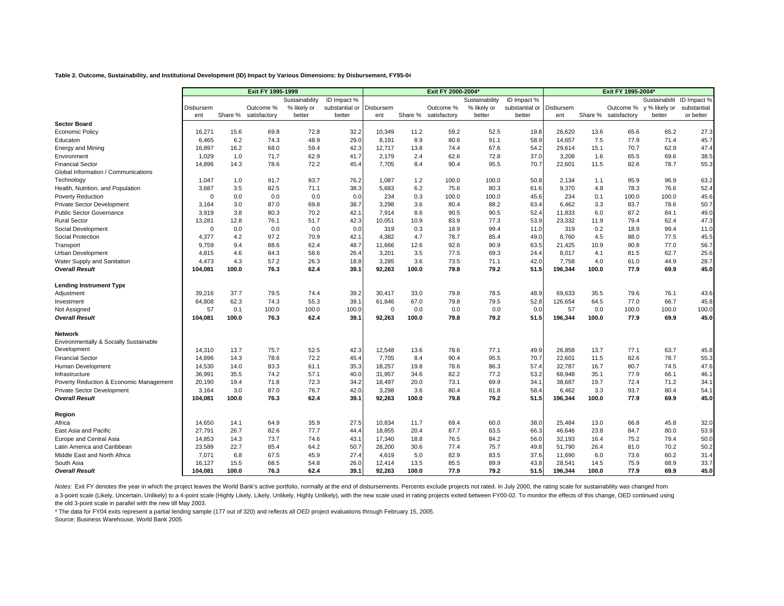#### **Table 2. Outcome, Sustainability, and Institutional Development (ID) Impact by Various Dimensions: by Disbursement, FY95-04**

|                                                       | Exit FY 1995-1999 |              |              |                |                |                  |              | Exit FY 2000-2004 |                | Exit FY 1995-2004* |                  |              |              |               |              |
|-------------------------------------------------------|-------------------|--------------|--------------|----------------|----------------|------------------|--------------|-------------------|----------------|--------------------|------------------|--------------|--------------|---------------|--------------|
|                                                       |                   |              |              | Sustainability | ID Impact %    |                  |              |                   | Sustainability | ID Impact %        |                  |              |              | Sustainabilit | ID Impact %  |
|                                                       | Disbursem         |              | Outcome %    | % likely or    | substantial or | Disbursem        |              | Outcome %         | % likely or    | substantial or     | Disbursem        |              | Outcome %    | y % likely or | substantial  |
|                                                       | ent               | Share %      | satisfactory | better         | better         | ent              | Share %      | satisfactory      | better         | better             | ent              | Share %      | satisfactory | better        | or better    |
| <b>Sector Board</b>                                   |                   |              |              |                |                |                  |              |                   |                |                    |                  |              |              |               |              |
| <b>Economic Policy</b>                                | 16.271            | 15.6         | 69.8         | 72.8           | 32.2           | 10.349           | 11.2         | 59.2              | 52.5           | 19.8               | 26.620           | 13.6         | 65.6         | 65.2          | 27.3         |
| Educaton                                              | 6.465             | 6.2          | 74.3         | 48.9           | 29.0           | 8.191            | 8.9          | 80.6              | 91.1           | 58.9               | 14.657           | 7.5          | 77.9         | 71.4          | 45.7         |
| Energy and Mining                                     | 16,897            | 16.2         | 68.0         | 59.4           | 42.3           | 12,717           | 13.8         | 74.4              | 67.6           | 54.2               | 29,614           | 15.1         | 70.7         | 62.9          | 47.4         |
| Environment                                           | 1,029             | 1.0          | 71.7         | 62.9           | 41.7           | 2,179            | 2.4          | 62.6              | 72.8           | 37.0               | 3,208            | 1.6          | 65.5         | 69.6          | 38.5         |
| <b>Financial Sector</b>                               | 14,896            | 14.3         | 78.6         | 72.2           | 45.4           | 7,705            | 8.4          | 90.4              | 95.5           | 70.7               | 22,601           | 11.5         | 82.6         | 78.7          | 55.3         |
| Global Information / Communications                   |                   |              |              |                |                |                  |              |                   |                |                    |                  |              |              |               |              |
| Technology                                            | 1,047             | 1.0          | 91.7         | 93.7           | 76.2           | 1,087            | 1.2          | 100.0             | 100.0          | 50.8               | 2,134            | 1.1          | 95.9         | 96.9          | 63.2         |
| Health, Nutrition, and Population                     | 3,687             | 3.5          | 82.5         | 71.1           | 38.3           | 5,683            | 6.2          | 75.6              | 80.3           | 61.6               | 9,370            | 4.8          | 78.3         | 76.6          | 52.4         |
| Poverty Reduction                                     | $\Omega$          | 0.0          | 0.0          | 0.0            | 0.0            | 234              | 0.3          | 100.0             | 100.0          | 45.6               | 234              | 0.1          | 100.0        | 100.0         | 45.6         |
| Private Sector Development                            | 3,164             | 3.0          | 87.0         | 69.8           | 38.7           | 3,298            | 3.6          | 80.4              | 88.2           | 63.4               | 6,462            | 3.3          | 83.7         | 78.6          | 50.7         |
| <b>Public Sector Governance</b>                       | 3,919             | 3.8          | 80.3         | 70.2           | 42.1           | 7,914            | 8.6          | 90.5              | 90.5           | 52.4               | 11,833           | 6.0          | 87.2         | 84.1          | 49.0         |
| <b>Rural Sector</b>                                   | 13,281            | 12.8         | 76.1         | 51.7           | 42.3           | 10,051           | 10.9         | 83.9              | 77.3           | 53.9               | 23,332           | 11.9         | 79.4         | 62.4          | 47.3         |
| Social Development                                    | $\mathbf 0$       | 0.0          | 0.0          | 0.0            | 0.0            | 319              | 0.3          | 18.9              | 99.4           | 11.0               | 319              | 0.2          | 18.9         | 99.4          | 11.0         |
| Social Protection                                     | 4,377             | 4.2          | 97.2         | 70.9           | 42.1           | 4,382            | 4.7          | 78.7              | 85.4           | 49.0               | 8,760            | 4.5          | 88.0         | 77.5          | 45.5         |
| Transport                                             | 9,759             | 9.4          | 88.6         | 62.4           | 48.7           | 11,666           | 12.6         | 92.6              | 90.9           | 63.5               | 21,425           | 10.9         | 90.8         | 77.0          | 56.7         |
| Urban Development                                     | 4,815             | 4.6          | 84.3         | 58.6           | 26.4           | 3,201            | 3.5          | 77.5              | 69.3           | 24.4               | 8,017            | 4.1          | 81.5         | 62.7          | 25.6         |
| Water Supply and Sanitation                           | 4,473             | 4.3          | 57.2         | 26.3           | 18.8           | 3,285            | 3.6          | 73.5              | 71.1           | 42.0               | 7,758            | 4.0          | 61.0         | 44.9          | 28.7         |
| <b>Overall Result</b>                                 | 104,081           | 100.0        | 76.3         | 62.4           | 39.1           | 92,263           | 100.0        | 79.8              | 79.2           | 51.5               | 196,344          | 100.0        | 77.9         | 69.9          | 45.0         |
| <b>Lending Instrument Type</b>                        |                   |              |              |                |                |                  |              |                   |                |                    |                  |              |              |               |              |
| Adjustment                                            | 39,216            | 37.7         | 79.5         | 74.4           | 39.2           | 30,417           | 33.0         | 79.8              | 78.5           | 48.9               | 69,633           | 35.5         | 79.6         | 76.1          | 43.6         |
| Investment                                            | 64,808            | 62.3         | 74.3         | 55.3           | 39.1           | 61,846           | 67.0         | 79.8              | 79.5           | 52.8               | 126,654          | 64.5         | 77.0         | 66.7          | 45.8         |
| Not Assigned                                          | 57                | 0.1          | 100.0        | 100.0          | 100.0          | $\Omega$         | 0.0          | 0.0               | 0.0            | 0.0                | 57               | 0.0          | 100.0        | 100.0         | 100.0        |
| <b>Overall Result</b>                                 | 104.081           | 100.0        | 76.3         | 62.4           | 39.1           | 92.263           | 100.0        | 79.8              | 79.2           | 51.5               | 196,344          | 100.0        | 77.9         | 69.9          | 45.0         |
| Network                                               |                   |              |              |                |                |                  |              |                   |                |                    |                  |              |              |               |              |
|                                                       |                   |              |              |                |                |                  |              |                   |                |                    |                  |              |              |               |              |
| Environmentally & Socially Sustainable<br>Development |                   | 13.7         | 75.7         | 52.5           | 42.3           | 12,548           | 13.6         | 78.6              | 77.1           | 49.9               | 26,858           | 13.7         | 77.1         | 63.7          |              |
| <b>Financial Sector</b>                               | 14,310<br>14,896  |              | 78.6         | 72.2           |                | 7,705            | 8.4          | 90.4              | 95.5           |                    | 22,601           |              | 82.6         | 78.7          | 45.8<br>55.3 |
|                                                       |                   | 14.3         | 83.3         | 61.1           | 45.4           |                  | 19.8         | 78.6              |                | 70.7               |                  | 11.5         | 80.7         | 74.5          |              |
| Human Development<br>Infrastructure                   | 14,530<br>36,991  | 14.0<br>35.5 | 74.2         | 57.1           | 35.3<br>40.0   | 18,257<br>31,957 | 34.6         | 82.2              | 86.3<br>77.2   | 57.4<br>53.2       | 32,787<br>68.948 | 16.7<br>35.1 | 77.9         | 66.1          | 47.6<br>46.1 |
|                                                       |                   |              | 71.8         | 72.3           |                |                  |              | 73.1              | 69.9           |                    |                  |              | 72.4         |               |              |
| Poverty Reduction & Economic Management               | 20,190            | 19.4         |              | 76.7           | 34.2           | 18,497           | 20.0         |                   |                | 34.1<br>58.4       | 38,687<br>6,462  | 19.7<br>3.3  |              | 71.2          | 34.1         |
| Private Sector Development<br><b>Overall Result</b>   | 3,164<br>104,081  | 3.0<br>100.0 | 87.0<br>76.3 | 62.4           | 42.0<br>39.1   | 3,298<br>92,263  | 3.6<br>100.0 | 80.4<br>79.8      | 81.8<br>79.2   | 51.5               | 196,344          | 100.0        | 93.7<br>77.9 | 80.4<br>69.9  | 54.1<br>45.0 |
|                                                       |                   |              |              |                |                |                  |              |                   |                |                    |                  |              |              |               |              |
| Region                                                |                   |              |              |                |                |                  |              |                   |                |                    |                  |              |              |               |              |
| Africa                                                | 14,650            | 14.1         | 64.9         | 35.9           | 27.5           | 10,834           | 11.7         | 69.4              | 60.0           | 38.0               | 25,484           | 13.0         | 66.8         | 45.8          | 32.0         |
| East Asia and Pacific                                 | 27,791            | 26.7         | 82.6         | 77.7           | 44.4           | 18,855           | 20.4         | 87.7              | 83.5           | 66.3               | 46,646           | 23.8         | 84.7         | 80.0          | 53.9         |
| Europe and Central Asia                               | 14,853            | 14.3         | 73.7         | 74.6           | 43.1           | 17,340           | 18.8         | 76.5              | 84.2           | 56.0               | 32,193           | 16.4         | 75.2         | 79.4          | 50.0         |
| Latin America and Caribbean                           | 23,589            | 22.7         | 85.4         | 64.2           | 50.7           | 28,200           | 30.6         | 77.4              | 75.7           | 49.8               | 51,790           | 26.4         | 81.0         | 70.2          | 50.2         |
| Middle East and North Africa                          | 7,071             | 6.8          | 67.5         | 45.9           | 27.4           | 4,619            | 5.0          | 82.9              | 83.5           | 37.6               | 11,690           | 6.0          | 73.6         | 60.2          | 31.4         |
| South Asia                                            | 16,127            | 15.5         | 68.5         | 54.8           | 26.0           | 12,414           | 13.5         | 85.5              | 89.9           | 43.8               | 28,541           | 14.5         | 75.9         | 68.9          | 33.7         |
| <b>Overall Result</b>                                 | 104.081           | 100.0        | 76.3         | 62.4           | 39.1           | 92,263           | 100.0        | 77.9              | 79.2           | 51.5               | 196,344          | 100.0        | 77.9         | 69.9          | 45.0         |

Notes: Exit FY denotes the year in which the project leaves the World Bank's active portfolio, normally at the end of disbursements. Percents exclude projects not rated. In July 2000, the rating scale for sustainability wa a 3-point scale (Likely, Uncertain, Unlikely) to a 4-point scale (Highly Likely, Likely, Unlikely, Highly Unlikely, Highly Unlikely, with the new scale used in rating projects exited between FY00-02. To monitor the effects

the old 3-point scale in parallel with the new till May 2003.

\* The data for FY04 exits represent a partial lending sample (177 out of 320) and reflects all OED project evaluations through February 15, 2005.

Source: Business Warehouse, World Bank 2005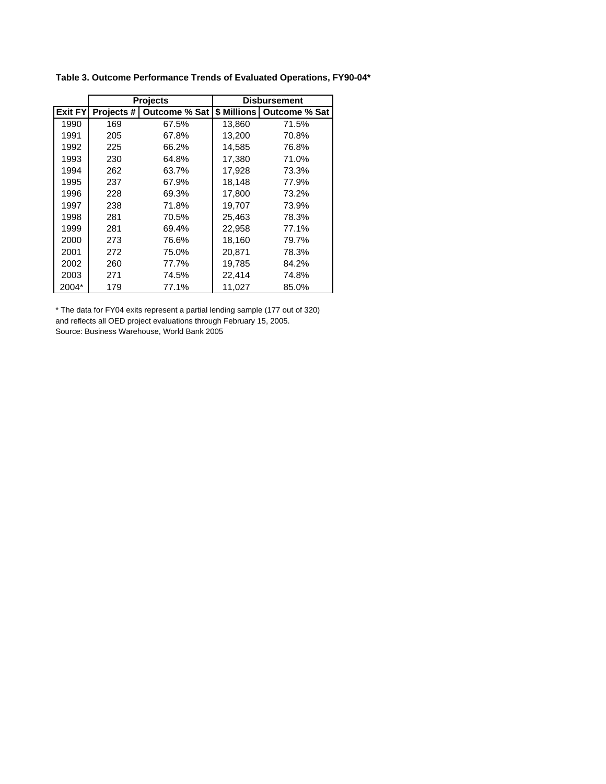|                |     | <b>Projects</b>          |                    | <b>Disbursement</b> |
|----------------|-----|--------------------------|--------------------|---------------------|
| <b>Exit FY</b> |     | Projects # Outcome % Sat | <b>\$ Millions</b> | Outcome % Sat       |
| 1990           | 169 | 67.5%                    | 13,860             | 71.5%               |
| 1991           | 205 | 67.8%                    | 13,200             | 70.8%               |
| 1992           | 225 | 66.2%                    | 14.585             | 76.8%               |
| 1993           | 230 | 64.8%                    | 17,380             | 71.0%               |
| 1994           | 262 | 63.7%                    | 17,928             | 73.3%               |
| 1995           | 237 | 67.9%                    | 18,148             | 77.9%               |
| 1996           | 228 | 69.3%                    | 17.800             | 73.2%               |
| 1997           | 238 | 71.8%                    | 19,707             | 73.9%               |
| 1998           | 281 | 70.5%                    | 25,463             | 78.3%               |
| 1999           | 281 | 69.4%                    | 22,958             | 77.1%               |
| 2000           | 273 | 76.6%                    | 18,160             | 79.7%               |
| 2001           | 272 | 75.0%                    | 20,871             | 78.3%               |
| 2002           | 260 | 77.7%                    | 19.785             | 84.2%               |
| 2003           | 271 | 74.5%                    | 22,414             | 74.8%               |
| 2004*          | 179 | 77.1%                    | 11,027             | 85.0%               |

**Table 3. Outcome Performance Trends of Evaluated Operations, FY90-04\***

\* The data for FY04 exits represent a partial lending sample (177 out of 320) and reflects all OED project evaluations through February 15, 2005. Source: Business Warehouse, World Bank 2005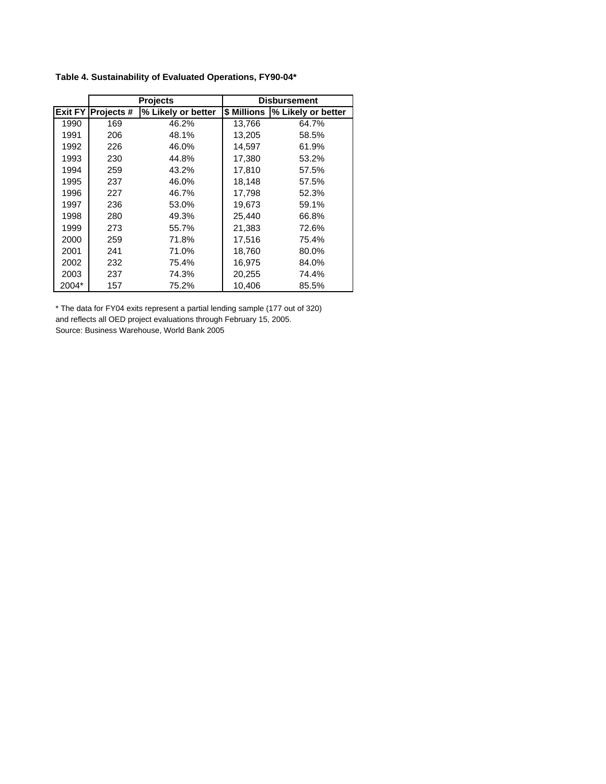|                |            | <b>Projects</b>    |             | <b>Disbursement</b> |
|----------------|------------|--------------------|-------------|---------------------|
| <b>Exit FY</b> | Projects # | % Likely or better | \$ Millions | % Likely or better  |
| 1990           | 169        | 46.2%              | 13,766      | 64.7%               |
| 1991           | 206        | 48.1%              | 13,205      | 58.5%               |
| 1992           | 226        | 46.0%              | 14,597      | 61.9%               |
| 1993           | 230        | 44.8%              | 17,380      | 53.2%               |
| 1994           | 259        | 43.2%              | 17,810      | 57.5%               |
| 1995           | 237        | 46.0%              | 18,148      | 57.5%               |
| 1996           | 227        | 46.7%              | 17,798      | 52.3%               |
| 1997           | 236        | 53.0%              | 19,673      | 59.1%               |
| 1998           | 280        | 49.3%              | 25,440      | 66.8%               |
| 1999           | 273        | 55.7%              | 21,383      | 72.6%               |
| 2000           | 259        | 71.8%              | 17,516      | 75.4%               |
| 2001           | 241        | 71.0%              | 18,760      | 80.0%               |
| 2002           | 232        | 75.4%              | 16,975      | 84.0%               |
| 2003           | 237        | 74.3%              | 20,255      | 74.4%               |
| 2004*          | 157        | 75.2%              | 10,406      | 85.5%               |

**Table 4. Sustainability of Evaluated Operations, FY90-04\***

\* The data for FY04 exits represent a partial lending sample (177 out of 320) and reflects all OED project evaluations through February 15, 2005. Source: Business Warehouse, World Bank 2005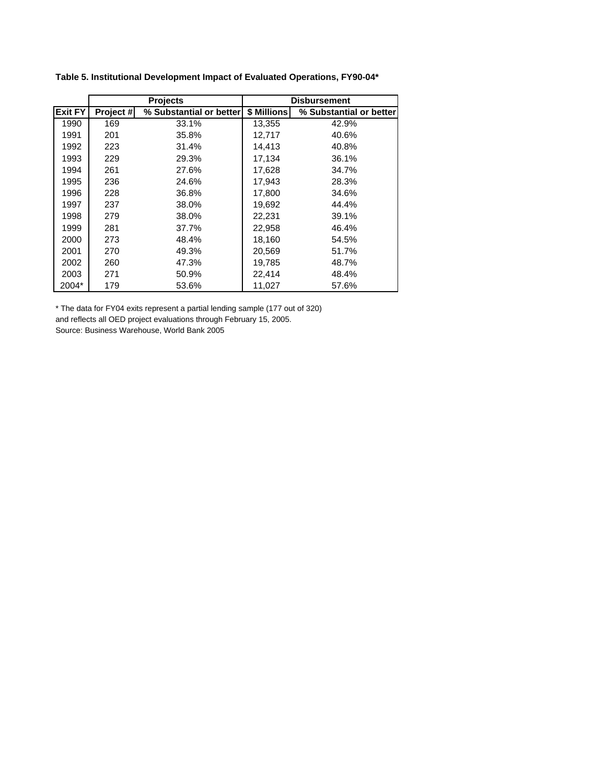|                |           | <b>Projects</b>         | <b>Disbursement</b> |                         |  |  |  |  |  |  |
|----------------|-----------|-------------------------|---------------------|-------------------------|--|--|--|--|--|--|
| <b>Exit FY</b> | Project # | % Substantial or better | \$ Millions         | % Substantial or better |  |  |  |  |  |  |
| 1990           | 169       | 33.1%                   | 13,355              | 42.9%                   |  |  |  |  |  |  |
| 1991           | 201       | 35.8%                   | 12,717              | 40.6%                   |  |  |  |  |  |  |
| 1992           | 223       | 31.4%                   | 14.413              | 40.8%                   |  |  |  |  |  |  |
| 1993           | 229       | 29.3%                   | 17,134              | 36.1%                   |  |  |  |  |  |  |
| 1994           | 261       | 27.6%                   | 17,628              | 34.7%                   |  |  |  |  |  |  |
| 1995           | 236       | 24.6%                   | 17,943              | 28.3%                   |  |  |  |  |  |  |
| 1996           | 228       | 36.8%                   | 17,800              | 34.6%                   |  |  |  |  |  |  |
| 1997           | 237       | 38.0%                   | 19,692              | 44.4%                   |  |  |  |  |  |  |
| 1998           | 279       | 38.0%                   | 22,231              | 39.1%                   |  |  |  |  |  |  |
| 1999           | 281       | 37.7%                   | 22,958              | 46.4%                   |  |  |  |  |  |  |
| 2000           | 273       | 48.4%                   | 18,160              | 54.5%                   |  |  |  |  |  |  |
| 2001           | 270       | 49.3%                   | 20,569              | 51.7%                   |  |  |  |  |  |  |
| 2002           | 260       | 47.3%                   | 19,785              | 48.7%                   |  |  |  |  |  |  |
| 2003           | 271       | 50.9%                   | 22,414              | 48.4%                   |  |  |  |  |  |  |
| 2004*          | 179       | 53.6%                   | 11,027              | 57.6%                   |  |  |  |  |  |  |

**Table 5. Institutional Development Impact of Evaluated Operations, FY90-04\***

\* The data for FY04 exits represent a partial lending sample (177 out of 320) and reflects all OED project evaluations through February 15, 2005.

Source: Business Warehouse, World Bank 2005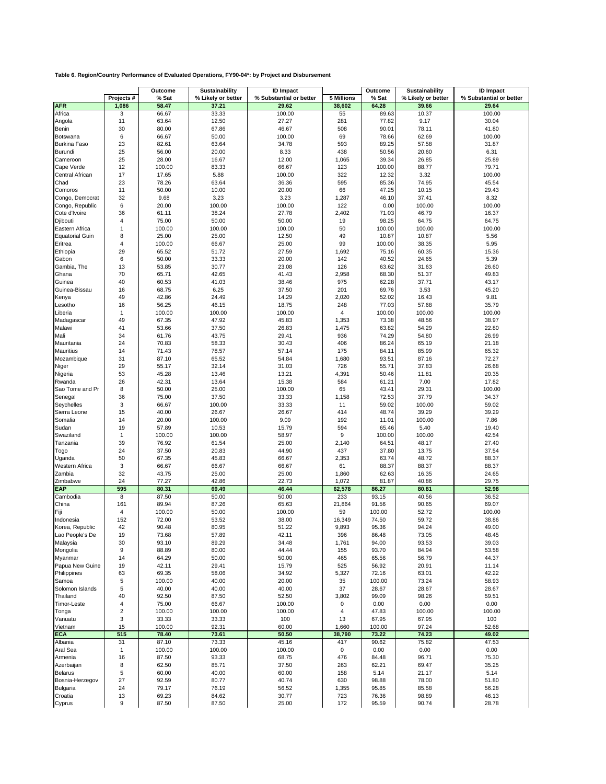|                            |                       | Outcome         | Sustainability     | <b>ID</b> Impact        |                         | Outcome        | Sustainability     | <b>ID Impact</b>        |
|----------------------------|-----------------------|-----------------|--------------------|-------------------------|-------------------------|----------------|--------------------|-------------------------|
|                            | Projects #            | % Sat           | % Likely or better | % Substantial or better | \$ Millions             | % Sat          | % Likely or better | % Substantial or better |
| <b>AFR</b>                 | 1,086<br>3            | 58.47           | 37.21<br>33.33     | 29.62<br>100.00         | 38,602                  | 64.28          | 39.66<br>10.37     | 29.64<br>100.00         |
| Africa<br>Angola           | 11                    | 66.67<br>63.64  | 12.50              | 27.27                   | 55<br>281               | 89.63<br>77.82 | 9.17               | 30.04                   |
| Benin                      | 30                    | 80.00           | 67.86              | 46.67                   | 508                     | 90.01          | 78.11              | 41.80                   |
| Botswana                   | 6                     | 66.67           | 50.00              | 100.00                  | 69                      | 78.66          | 62.69              | 100.00                  |
| <b>Burkina Faso</b>        | 23                    | 82.61           | 63.64              | 34.78                   | 593                     | 89.25          | 57.58              | 31.87                   |
| Burundi                    | 25                    | 56.00           | 20.00              | 8.33                    | 438                     | 50.56          | 20.60              | 6.31                    |
| Cameroon                   | 25                    | 28.00           | 16.67              | 12.00                   | 1,065                   | 39.34          | 26.85              | 25.89                   |
| Cape Verde                 | 12                    | 100.00          | 83.33              | 66.67                   | 123                     | 100.00         | 88.77              | 79.71                   |
| Central African            | 17<br>23              | 17.65           | 5.88               | 100.00                  | 322                     | 12.32          | 3.32               | 100.00                  |
| Chad<br>Comoros            | 11                    | 78.26<br>50.00  | 63.64<br>10.00     | 36.36<br>20.00          | 595<br>66               | 85.36<br>47.25 | 74.95<br>10.15     | 45.54<br>29.43          |
| Congo, Democrat            | 32                    | 9.68            | 3.23               | 3.23                    | 1,287                   | 46.10          | 37.41              | 8.32                    |
| Congo, Republic            | 6                     | 20.00           | 100.00             | 100.00                  | 122                     | 0.00           | 100.00             | 100.00                  |
| Cote d'Ivoire              | 36                    | 61.11           | 38.24              | 27.78                   | 2,402                   | 71.03          | 46.79              | 16.37                   |
| Djibouti                   | 4                     | 75.00           | 50.00              | 50.00                   | 19                      | 98.25          | 64.75              | 64.75                   |
| Eastern Africa             | $\mathbf{1}$          | 100.00          | 100.00             | 100.00                  | 50                      | 100.00         | 100.00             | 100.00                  |
| <b>Equatorial Guin</b>     | 8                     | 25.00           | 25.00              | 12.50                   | 49                      | 10.87          | 10.87              | 5.56                    |
| Eritrea                    | 4                     | 100.00          | 66.67              | 25.00                   | 99                      | 100.00         | 38.35              | 5.95                    |
| Ethiopia<br>Gabon          | 29<br>6               | 65.52<br>50.00  | 51.72<br>33.33     | 27.59<br>20.00          | 1,692<br>142            | 75.16<br>40.52 | 60.35<br>24.65     | 15.36<br>5.39           |
| Gambia, The                | 13                    | 53.85           | 30.77              | 23.08                   | 126                     | 63.62          | 31.63              | 26.60                   |
| Ghana                      | 70                    | 65.71           | 42.65              | 41.43                   | 2,958                   | 68.30          | 51.37              | 49.83                   |
| Guinea                     | 40                    | 60.53           | 41.03              | 38.46                   | 975                     | 62.28          | 37.71              | 43.17                   |
| Guinea-Bissau              | 16                    | 68.75           | 6.25               | 37.50                   | 201                     | 69.76          | 3.53               | 45.20                   |
| Kenya                      | 49                    | 42.86           | 24.49              | 14.29                   | 2,020                   | 52.02          | 16.43              | 9.81                    |
| Lesotho                    | 16                    | 56.25           | 46.15              | 18.75                   | 248                     | 77.03          | 57.68              | 35.79                   |
| Liberia                    | $\mathbf{1}$          | 100.00          | 100.00             | 100.00                  | 4                       | 100.00         | 100.00             | 100.00                  |
| Madagascar                 | 49                    | 67.35           | 47.92              | 45.83                   | 1,353                   | 73.38          | 48.56              | 38.97                   |
| Malawi<br>Mali             | 41<br>34              | 53.66<br>61.76  | 37.50<br>43.75     | 26.83<br>29.41          | 1,475<br>936            | 63.82<br>74.29 | 54.29<br>54.80     | 22.80<br>26.99          |
| Mauritania                 | 24                    | 70.83           | 58.33              | 30.43                   | 406                     | 86.24          | 65.19              | 21.18                   |
| <b>Mauritius</b>           | 14                    | 71.43           | 78.57              | 57.14                   | 175                     | 84.11          | 85.99              | 65.32                   |
| Mozambique                 | 31                    | 87.10           | 65.52              | 54.84                   | 1,680                   | 93.51          | 87.16              | 72.27                   |
| Niger                      | 29                    | 55.17           | 32.14              | 31.03                   | 726                     | 55.71          | 37.83              | 26.68                   |
| Nigeria                    | 53                    | 45.28           | 13.46              | 13.21                   | 4,391                   | 50.46          | 11.81              | 20.35                   |
| Rwanda                     | 26                    | 42.31           | 13.64              | 15.38                   | 584                     | 61.21          | 7.00               | 17.82                   |
| Sao Tome and Pr            | 8                     | 50.00           | 25.00              | 100.00                  | 65                      | 43.41          | 29.31              | 100.00                  |
| Senegal                    | 36                    | 75.00           | 37.50              | 33.33                   | 1,158                   | 72.53          | 37.79              | 34.37                   |
| Seychelles<br>Sierra Leone | 3<br>15               | 66.67<br>40.00  | 100.00<br>26.67    | 33.33<br>26.67          | 11<br>414               | 59.02<br>48.74 | 100.00<br>39.29    | 59.02<br>39.29          |
| Somalia                    | 14                    | 20.00           | 100.00             | 9.09                    | 192                     | 11.01          | 100.00             | 7.86                    |
| Sudan                      | 19                    | 57.89           | 10.53              | 15.79                   | 594                     | 65.46          | 5.40               | 19.40                   |
| Swaziland                  | 1                     | 100.00          | 100.00             | 58.97                   | 9                       | 100.00         | 100.00             | 42.54                   |
| Tanzania                   | 39                    | 76.92           | 61.54              | 25.00                   | 2,140                   | 64.51          | 48.17              | 27.40                   |
| Togo                       | 24                    | 37.50           | 20.83              | 44.90                   | 437                     | 37.80          | 13.75              | 37.54                   |
| Uganda                     | 50                    | 67.35           | 45.83              | 66.67                   | 2,353                   | 63.74          | 48.72              | 88.37                   |
| Western Africa             | 3<br>32               | 66.67           | 66.67              | 66.67                   | 61                      | 88.37          | 88.37              | 88.37                   |
| Zambia<br>Zimbabwe         | 24                    | 43.75<br>77.27  | 25.00<br>42.86     | 25.00<br>22.73          | 1,860<br>1,072          | 62.63<br>81.87 | 16.35<br>40.86     | 24.65<br>29.75          |
| EAP                        | 595                   | 80.31           | 69.49              | 46.44                   | 62,578                  | 86.27          | 80.81              | 52.98                   |
| Cambodia                   | 8                     | 87.50           | 50.00              | 50.00                   | 233                     | 93.15          | 40.56              | 36.52                   |
| China                      | 161                   | 89.94           | 87.26              | 65.63                   | 21,864                  | 91.56          | 90.65              | 69.07                   |
| Fiji                       | $\overline{4}$        | 100.00          | 50.00              | 100.00                  | 59                      | 100.00         | 52.72              | 100.00                  |
| Indonesia                  | 152                   | 72.00           | 53.52              | 38.00                   | 16,349                  | 74.50          | 59.72              | 38.86                   |
| Korea, Republic            | 42                    | 90.48           | 80.95              | 51.22                   | 9,893                   | 95.36          | 94.24              | 49.00                   |
| Lao People's De            | 19                    | 73.68           | 57.89<br>89.29     | 42.11                   | 396                     | 86.48          | 73.05<br>93.53     | 48.45                   |
| Malaysia<br>Mongolia       | 30<br>9               | 93.10<br>88.89  | 80.00              | 34.48<br>44.44          | 1,761<br>155            | 94.00<br>93.70 | 84.94              | 39.03<br>53.58          |
| Myanmar                    | 14                    | 64.29           | 50.00              | 50.00                   | 465                     | 65.56          | 56.79              | 44.37                   |
| Papua New Guine            | 19                    | 42.11           | 29.41              | 15.79                   | 525                     | 56.92          | 20.91              | 11.14                   |
| Philippines                | 63                    | 69.35           | 58.06              | 34.92                   | 5,327                   | 72.16          | 63.01              | 42.22                   |
| Samoa                      | 5                     | 100.00          | 40.00              | 20.00                   | 35                      | 100.00         | 73.24              | 58.93                   |
| Solomon Islands            | 5                     | 40.00           | 40.00              | 40.00                   | 37                      | 28.67          | 28.67              | 28.67                   |
| Thailand                   | 40                    | 92.50           | 87.50              | 52.50                   | 3,802                   | 99.09          | 98.26              | 59.51                   |
| Timor-Leste                | 4                     | 75.00           | 66.67              | 100.00                  | 0                       | 0.00           | 0.00               | 0.00                    |
| Tonga                      | $\boldsymbol{2}$<br>3 | 100.00<br>33.33 | 100.00<br>33.33    | 100.00<br>100           | $\overline{\mathbf{4}}$ | 47.83<br>67.95 | 100.00<br>67.95    | 100.00                  |
| Vanuatu<br>Vietnam         | 15                    | 100.00          | 92.31              | 60.00                   | 13<br>1,660             | 100.00         | 97.24              | 100<br>52.68            |
| <b>ECA</b>                 | 515                   | 78.40           | 73.61              | 50.50                   | 38,790                  | 73.22          | 74.23              | 49.02                   |
| Albania                    | 31                    | 87.10           | 73.33              | 45.16                   | 417                     | 90.62          | 75.82              | 47.53                   |
| Aral Sea                   | $\mathbf{1}$          | 100.00          | 100.00             | 100.00                  | 0                       | 0.00           | 0.00               | 0.00                    |
| Armenia                    | 16                    | 87.50           | 93.33              | 68.75                   | 476                     | 84.48          | 96.71              | 75.30                   |
| Azerbaijan                 | 8                     | 62.50           | 85.71              | 37.50                   | 263                     | 62.21          | 69.47              | 35.25                   |
| <b>Belarus</b>             | 5                     | 60.00           | 40.00              | 60.00                   | 158                     | 5.14           | 21.17              | 5.14                    |
| Bosnia-Herzegov            | 27                    | 92.59           | 80.77              | 40.74                   | 630                     | 98.88          | 78.00              | 51.80                   |
| Bulgaria<br>Croatia        | 24<br>13              | 79.17<br>69.23  | 76.19<br>84.62     | 56.52<br>30.77          | 1,355<br>723            | 95.85<br>76.36 | 85.58<br>98.89     | 56.28<br>46.13          |
| Cyprus                     | 9                     | 87.50           | 87.50              | 25.00                   | 172                     | 95.59          | 90.74              | 28.78                   |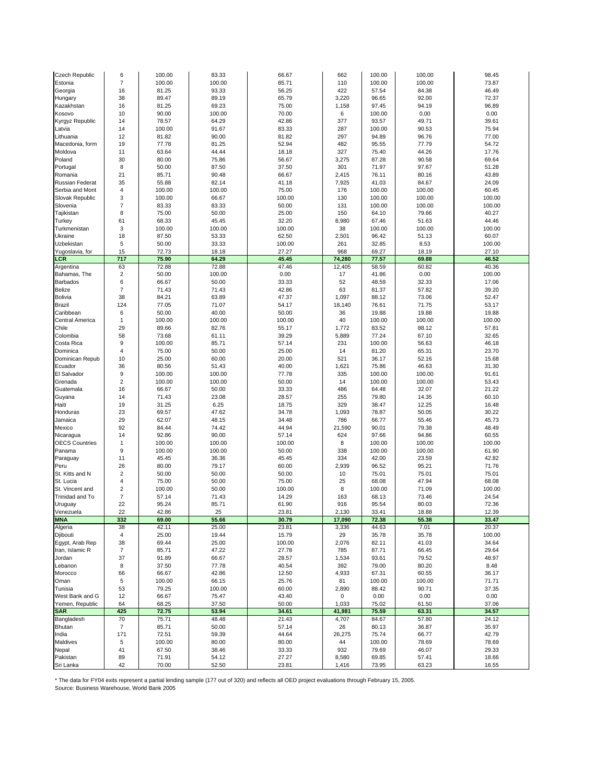| Czech Republic                  | 6                    | 100.00          | 83.33          | 66.67          | 662             | 100.00          | 100.00          | 98.45          |
|---------------------------------|----------------------|-----------------|----------------|----------------|-----------------|-----------------|-----------------|----------------|
| Estonia                         | $\overline{7}$       | 100.00          | 100.00         | 85.71          | 110             | 100.00          | 100.00          | 73.87          |
| Georgia                         | 16                   | 81.25           | 93.33          | 56.25          | 422             | 57.54           | 84.38           | 46.49          |
| Hungary                         | 38                   | 89.47           | 89.19          | 65.79          | 3,220           | 96.65           | 92.00           | 72.37          |
| Kazakhstan                      | 16                   | 81.25           | 69.23          | 75.00          | 1,158           | 97.45           | 94.19           | 96.89          |
| Kosovo                          | 10                   | 90.00           | 100.00         | 70.00          | 6               | 100.00          | 0.00            | 0.00           |
| Kyrgyz Republic                 | 14                   | 78.57           | 64.29          | 42.86          | 377             | 93.57           | 49.71           | 39.61          |
| Latvia                          | 14                   | 100.00          | 91.67          | 83.33          | 287             | 100.00          | 90.53           | 75.94          |
| Lithuania                       | 12                   | 81.82           | 90.00          | 81.82          | 297             | 94.89           | 96.76           | 77.00          |
| Macedonia, form                 | 19                   | 77.78           | 81.25          | 52.94          | 482             | 95.55           | 77.79           | 54.72          |
| Moldova                         | 11                   | 63.64           | 44.44          | 18.18          | 327             | 75.40           | 44.26           | 17.76          |
| Poland                          | 30                   | 80.00           | 75.86          | 56.67          | 3,275           | 87.28           | 90.58           | 69.64          |
| Portugal                        | 8                    | 50.00           | 87.50          | 37.50          | 301             | 71.97           | 97.67           | 51.28          |
| Romania                         | 21                   | 85.71           | 90.48          | 66.67          | 2,415           | 76.11           | 80.16           | 43.89          |
| Russian Federat                 | 35                   | 55.88           | 82.14          | 41.18          | 7,925           | 41.03           | 84.67           | 24.09          |
| Serbia and Mont                 | $\overline{4}$       | 100.00          | 100.00         | 75.00          | 176             | 100.00          | 100.00          | 60.45          |
| Slovak Republic                 | 3                    | 100.00          | 66.67          | 100.00         | 130             | 100.00          | 100.00          | 100.00         |
| Slovenia                        | $\overline{7}$       | 83.33           | 83.33          | 50.00          | 131             | 100.00          | 100.00          | 100.00         |
| Tajikistan                      | 8                    | 75.00           | 50.00          | 25.00          | 150             | 64.10           | 79.66           | 40.27          |
| Turkey                          | 61                   | 68.33           | 45.45          | 32.20          | 8,980           | 67.46           | 51.63           | 44.46          |
| Turkmenistan                    | 3                    | 100.00          | 100.00         | 100.00         | 38              | 100.00          | 100.00          | 100.00         |
| Ukraine                         | 18                   | 87.50           | 53.33          | 62.50          | 2,501           | 96.42           | 51.13           | 60.07          |
| Uzbekistan                      | 5                    | 50.00           | 33.33          | 100.00         | 261             | 32.85           | 8.53            | 100.00         |
| Yugoslavia, for                 | 15                   | 72.73           | 18.18          | 27.27          | 968             | 69.27           | 18.19           | 27.10          |
| LCR                             | 717                  | 75.90           | 64.29          | 45.45          | 74,280          | 77.57           | 69.88           | 46.52          |
| Argentina                       | 63                   | 72.88           | 72.88          | 47.46          | 12,405          | 58.59           | 60.82           | 40.36          |
| Bahamas, The<br><b>Barbados</b> | $\overline{2}$<br>6  | 50.00           | 100.00         | 0.00<br>33.33  | 17<br>52        | 41.86           | 0.00            | 100.00         |
|                                 |                      | 66.67           | 50.00          |                |                 | 48.59           | 32.33           | 17.06          |
| Belize                          | $\overline{7}$<br>38 | 71.43           | 71.43          | 42.86          | 63              | 81.37           | 57.82           | 39.20          |
| Bolivia<br>Brazil               | 124                  | 84.21<br>77.05  | 63.89<br>71.07 | 47.37<br>54.17 | 1,097<br>18,140 | 88.12<br>76.61  | 73.06<br>71.75  | 52.47<br>53.17 |
| Caribbean                       | 6                    | 50.00           | 40.00          | 50.00          | 36              | 19.88           | 19.88           | 19.88          |
| <b>Central America</b>          | 1                    | 100.00          | 100.00         | 100.00         | 40              | 100.00          | 100.00          | 100.00         |
| Chile                           | 29                   | 89.66           | 82.76          | 55.17          | 1,772           | 83.52           | 88.12           | 57.81          |
| Colombia                        | 58                   | 73.68           | 61.11          | 39.29          | 5,889           | 77.24           | 67.10           | 32.65          |
| Costa Rica                      | 9                    | 100.00          | 85.71          | 57.14          | 231             | 100.00          | 56.63           | 46.18          |
| Dominica                        | $\overline{4}$       | 75.00           | 50.00          | 25.00          | 14              | 81.20           | 65.31           | 23.70          |
| Dominican Repub                 | 10                   | 25.00           | 60.00          | 20.00          | 521             | 36.17           | 52.16           | 15.68          |
| Ecuador                         | 36                   | 80.56           | 51.43          | 40.00          | 1,621           | 75.86           | 46.63           | 31.30          |
| El Salvador                     | 9                    | 100.00          | 100.00         | 77.78          | 335             | 100.00          | 100.00          | 91.61          |
| Grenada                         | 2                    | 100.00          | 100.00         | 50.00          | 14              | 100.00          | 100.00          | 53.43          |
| Guatemala                       | 16                   | 66.67           | 50.00          | 33.33          | 486             | 64.48           | 32.07           | 21.22          |
| Guyana                          | 14                   | 71.43           | 23.08          | 28.57          | 255             | 79.80           | 14.35           | 60.10          |
| Haiti                           | 19                   | 31.25           | 6.25           | 18.75          | 329             | 38.47           | 12.25           | 16.48          |
| Honduras                        | 23                   | 69.57           | 47.62          | 34.78          | 1,093           | 78.87           | 50.05           | 30.22          |
| Jamaica                         | 29                   | 62.07           | 48.15          | 34.48          | 786             | 66.77           | 55.46           | 45.73          |
| Mexico                          | 92                   | 84.44           | 74.42          | 44.94          | 21,590          | 90.01           | 79.38           | 48.49          |
| Nicaragua                       | 14                   | 92.86           | 90.00          | 57.14          | 624             | 97.66           | 94.86           | 60.55          |
| <b>OECS Countries</b>           | $\mathbf{1}$         | 100.00          | 100.00         | 100.00         | 8               | 100.00          | 100.00          | 100.00         |
| Panama                          | 9                    | 100.00          | 100.00         | 50.00          | 338             | 100.00          | 100.00          | 61.90          |
| Paraguay                        | 11                   | 45.45           | 36.36          | 45.45          | 334             | 42.00           | 23.59           | 42.82          |
| Peru                            | 26                   | 80.00           | 79.17          | 60.00          | 2,939           | 96.52           | 95.21           | 71.76          |
| St. Kitts and N                 | $\overline{2}$       | 50.00           | 50.00          | 50.00          | 10              | 75.01           | 75.01           | 75.01          |
| St. Lucia                       | 4                    | 75.00           | 50.00          | 75.00          | 25              | 68.08           | 47.94           | 68.08          |
| St. Vincent and                 | 2                    | 100.00          | 50.00          | 100.00         | 8               | 100.00          | 71.09           | 100.00         |
| Trinidad and To                 | $\overline{7}$       | 57.14           | 71.43          | 14.29          | 163             | 68.13           | 73.46           | 24.54          |
| Uruguay                         | 22                   | 95.24           | 85.71          | 61.90          | 916             | 95.54           | 80.03           | 72.36          |
| Venezuela                       | 22                   | 42.86           | 25             | 23.81          | 2.130           | 33.41           | 18.88           | 12.39          |
| <b>MNA</b>                      | 332                  | 69.00           | 55.66          | 30.79          | 17,090          | 72.38           | 55.38           | 33.47          |
| Algeria                         | 38                   | 42.11           | 25.00          | 23.81          | 3,336           | 44.63           | 7.01            | 20.37          |
| Djibouti                        | 4                    | 25.00           | 19.44          | 15.79          | 29              | 35.78           | 35.78           | 100.00         |
| Egypt, Arab Rep                 | 38<br>$\overline{7}$ | 69.44           | 25.00<br>47.22 | 100.00         | 2,076<br>785    | 82.11           | 41.03           | 34.64          |
| Iran, Islamic R                 |                      | 85.71           |                | 27.78          |                 | 87.71           | 66.45           | 29.64          |
| Jordan<br>Lebanon               | 37<br>8              | 91.89<br>37.50  | 66.67<br>77.78 | 28.57<br>40.54 | 1,534<br>392    | 93.61<br>79.00  | 79.52<br>80.20  | 48.97<br>8.48  |
| Morocco                         | 66                   |                 |                |                | 4,933           |                 |                 |                |
| Oman                            | 5                    | 66.67<br>100.00 | 42.86<br>66.15 | 12.50<br>25.76 | 81              | 67.31<br>100.00 | 60.55<br>100.00 | 36.17<br>71.71 |
| Tunisia                         | 53                   | 79.25           | 100.00         | 60.00          | 2,890           | 88.42           | 90.71           | 37.35          |
| West Bank and G                 | 12                   | 66.67           | 75.47          | 43.40          | $\pmb{0}$       | 0.00            | 0.00            | 0.00           |
| Yemen, Republic                 | 64                   | 68.25           | 37.50          | 50.00          | 1,033           | 75.02           | 61.50           | 37.06          |
| <b>SAR</b>                      | 425                  | 72.75           | 53.94          | 34.61          | 41,981          | 75.59           | 63.31           | 34.57          |
| Bangladesh                      | 70                   | 75.71           | 48.48          | 21.43          | 4,707           | 84.67           | 57.80           | 24.12          |
| Bhutan                          | $\overline{7}$       | 85.71           | 50.00          | 57.14          | 26              | 80.13           | 36.87           | 35.97          |
| India                           | 171                  | 72.51           | 59.39          | 44.64          | 26,275          | 75.74           | 66.77           | 42.79          |
| Maldives                        | 5                    | 100.00          | 80.00          | 80.00          | 44              | 100.00          | 78.69           | 78.69          |
| Nepal                           | 41                   | 67.50           | 38.46          | 33.33          | 932             | 79.69           | 46.07           | 29.33          |
| Pakistan                        | 89                   | 71.91           | 54.12          | 27.27          | 8,580           | 69.85           | 57.41           | 18.66          |
| Sri Lanka                       | 42                   | 70.00           | 52.50          | 23.81          | 1,416           | 73.95           | 63.23           | 16.55          |

\* The data for FY04 exits represent a partial lending sample (177 out of 320) and reflects all OED project evaluations through February 15, 2005. Source: Business Warehouse, World Bank 2005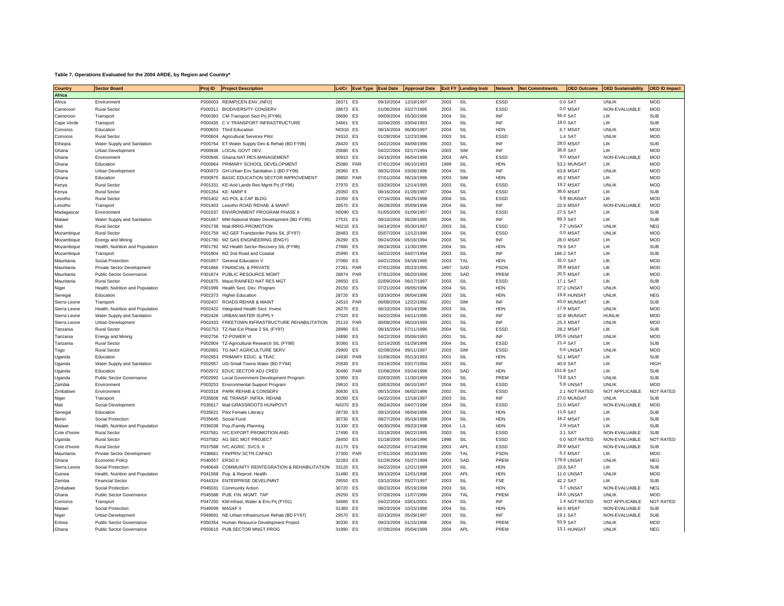#### **Table 7. Operations Evaluated for the 2004 ARDE, by Region and Country\***

| Country         | <b>Sector Board</b>               | Proj ID         | <b>Project Description</b>                      |                    | Ln/Cr Eval Type Eval Date |            |                          |      | Approval Date Exit FY Lending Instr Network |                   | <b>Net Commitments</b> |                    | <b>OED Outcome OED Sustainability</b> | <b>OED ID Impact</b>     |
|-----------------|-----------------------------------|-----------------|-------------------------------------------------|--------------------|---------------------------|------------|--------------------------|------|---------------------------------------------|-------------------|------------------------|--------------------|---------------------------------------|--------------------------|
| <b>Africa</b>   |                                   |                 |                                                 |                    |                           |            |                          |      |                                             |                   |                        |                    |                                       |                          |
| Africa          | Environment                       |                 | P000003 REIMP(CEN.ENV.,INFO)                    | 28371 ES           |                           | 09/10/2004 | 12/18/1997               | 2003 | SIL                                         | ESSD              |                        | 0.0 SAT            | <b>UNLIK</b>                          | <b>MOD</b>               |
| Cameroon        | <b>Rural Sector</b>               |                 | P000311 BIODIVERSITY CONSERV                    | 28673 ES           |                           | 01/06/2004 | 03/27/1995               | 2003 | SIL                                         | ESSD              |                        | 0.0 MSAT           | NON-EVALUABLE                         | <b>MOD</b>               |
| Cameroor        | Transport                         |                 | P000393 CM-Transport Sect Pri (FY96)            | 28690 ES           |                           | 09/09/2004 | 05/30/1996               | 2004 | SIL                                         | INF               |                        | 56.4 SAT           | LIK                                   | <b>SUB</b>               |
| Cape Verde      | Transport                         |                 | P000435 C V TRANSPORT INFRASTRUCTURE            | 24661              | ES                        | 02/04/2005 | 03/04/1993               | 2004 | SIL                                         | INF               |                        | 18.0 SAT           | LIK                                   | <b>SUB</b>               |
| Comoros         | Education                         |                 | P000603 Third Education                         | N0310 FS           |                           | 08/16/2004 | 06/30/1997               | 2004 | SII                                         | <b>HDN</b>        |                        | 6.7 MSAT           | <b>UNLIK</b>                          | <b>MOD</b>               |
| Comoros         | <b>Rural Sector</b>               |                 | P000604 Agricultural Services Pilot             | 29310 ES           |                           | 01/28/2004 | 12/23/1996               | 2003 | SIL                                         | <b>ESSD</b>       |                        | <b>1.4 SAT</b>     | <b>UNLIK</b>                          | <b>MOD</b>               |
|                 |                                   |                 |                                                 |                    |                           |            |                          |      |                                             |                   |                        |                    | 1 IK                                  |                          |
| Ethiopia        | Water Supply and Sanitation       |                 | P000764 ET-Water Supply Dev & Rehab (BD FY96)   | 28420              | ES                        | 04/22/2004 | 04/09/1996               | 2003 | SIL                                         | INF               |                        | <b>28.0 MSAT</b>   |                                       | <b>SUB</b>               |
| Ghana           | Urban Development                 |                 | P000936 LOCAL GOVT DEV.                         | 25680              | ES                        | 04/22/2004 | 02/17/1994               | 2003 | <b>SIM</b>                                  | INF               |                        | 36.8 SAT           | LIK                                   | <b>MOD</b>               |
| Ghana           | Environment                       |                 | P000946 Ghana:NAT.RES.MANAGEMENT                | 30910 ES           |                           | 04/16/2004 | 06/04/1998               | 2003 | APL                                         | ESSD              |                        | 9.0 MSAT           | NON-EVALUABLE                         | <b>MOD</b>               |
| Ghana           | Education                         |                 | P000964 PRIMARY SCHOOL DEVELOPMENT              | 25080              | PAR                       | 07/01/2004 | 06/10/1993               | 1999 | SII                                         | HDN               |                        | 53.2 MUNSAT        | <b>I</b> IK                           | <b>MOD</b>               |
| Ghana           | Urban Development                 |                 | P000973 GH-Urban Env Sanitation 1 (BD FY06)     | 28360              | ES                        | 08/31/2004 | 03/26/1996               | 2004 | SIL                                         | INF               |                        | 63.8 MSAT          | <b>UNLIK</b>                          | <b>MOD</b>               |
| Ghana           | Education                         |                 | P000975 BASIC EDUCATION SECTOR IMPROVEMENT      | 28850              | PAR                       | 07/01/2004 | 06/18/1996               | 2003 | <b>SIM</b>                                  | <b>HDN</b>        |                        | 45.2 MSAT          | 1 IK                                  | <b>MOD</b>               |
| Kenva           | Rural Sector                      |                 | P001331 KE-Arid Lands Res Mgmt Prj (FY96)       | 27970              | <b>FS</b>                 | 03/29/2004 | 12/14/1995               | 2003 | SIL                                         | ESSD              |                        | <b>19.2 MSAT</b>   | <b>UNLIK</b>                          | <b>MOD</b>               |
| Kenya           | <b>Rural Sector</b>               |                 | P001354 KE: NARP II                             | 29350              | ES                        | 08/16/2004 | 01/28/1997               | 2004 | SIL                                         | ESSD              |                        | 36.6 MSAT          | 1 IK                                  | <b>SUB</b>               |
| Lesotho         | <b>Rural Sector</b>               |                 | P001402 AG POL & CAP BLDG                       | 31050              | ES                        | 07/16/2004 | 06/25/1998               | 2004 | SIL                                         | ESSD              |                        | 6.8 MUNSAT         | <b>IK</b>                             | <b>MOD</b>               |
| Lesotho         | Transport                         |                 | P001403 Lesotho ROAD REHAB. & MAINT             | 28570 ES           |                           | 06/28/2004 | 05/09/1996               | 2004 | SIL                                         | INF               |                        | <b>22.9 MSAT</b>   | NON-EVALUABLE                         | <b>MOD</b>               |
| Madagascar      | Environment                       |                 | P001537 ENVIRONMENT PROGRAM PHASE I             | N0090 ES           |                           | 01/05/2005 | 01/09/1997               | 2003 | SIL                                         | <b>ESSD</b>       |                        | 27.5 SAT           | 1 IK                                  | <b>SUB</b>               |
| Malawi          | Water Supply and Sanitation       |                 | P001667 MW-National Water Development (BD FY95) | 27531              | ES                        | 08/10/2004 | 06/28/1995               | 2004 | SIL                                         | INF               |                        | 69.3 SAT           | LIK                                   | <b>SUB</b>               |
| Mali            | <b>Rural Sector</b>               |                 | P001738 Mali:IRRIG PROMOTION                    | N0210 ES           |                           | 04/14/2004 | 05/30/1997               | 2003 | SIL                                         | <b>ESSD</b>       |                        | 2.2 UNSAT          | <b>UNLIK</b>                          | <b>NEG</b>               |
| Mozambique      | <b>Rural Sector</b>               |                 | P001759 MZ-GEF Transborder Parks SIL (FY97)     | 28483              | ES                        | 05/07/2004 | 12/12/1996               | 2004 | SIL                                         | ESSD              |                        | 0.0 MSAT           | <b>UNLIK</b>                          | <b>MOD</b>               |
| Mozambique      | <b>Energy and Mining</b>          |                 | P001780 MZ GAS ENGINEERING (ENGY)               | 26290              | <b>FS</b>                 | 06/24/2004 | 06/16/1994               | 2003 | SII                                         | INF               |                        | <b>26.0 MSAT</b>   | LIK                                   | <b>MOD</b>               |
| Mozambique      | Health, Nutrition and Population  |                 | P001792 MZ-Health Sector Recovery SIL (FY96)    | 27880              | ES                        | 06/24/2004 | 11/30/1995               | 2004 | SIL                                         | <b>HDN</b>        |                        | 79.9 SAT           | LIK                                   | <b>SUB</b>               |
| Mozambique      | Transport                         |                 | P001804 MZ 2nd Road and Coastal                 | 25990 ES           |                           | 04/22/2004 | 04/07/1994               | 2003 | SIL                                         | INF               |                        | 186.2 SAT          | LIK                                   | <b>SUB</b>               |
| Mauritania      | Social Protection                 |                 | P001857 General Education V                     | 27060              | ES                        | 04/21/2004 | 04/18/1995               | 2003 | <b>TAL</b>                                  | <b>HDN</b>        |                        | 32.0 SAT           | LIK                                   | <b>MOD</b>               |
| Mauritania      | <b>Private Sector Development</b> |                 | P001866 FINANCIAL & PRIVATE                     | 27261              | PAR                       | 07/01/2004 | 05/23/1995               | 1997 | SAD                                         | <b>PSDN</b>       |                        | 28.8 MSA1          | LIK                                   | <b>MOD</b>               |
| Mauritania      | <b>Public Sector Governance</b>   |                 | P001874 PUBLIC RESOURCE MGMT                    | 28874              | PAR                       | 07/01/2004 | 06/20/1996               | 2000 | SAD                                         | PREM              |                        | <b>20.5 MSAT</b>   | LIK                                   | <b>MOD</b>               |
|                 | <b>Rural Sector</b>               |                 |                                                 |                    |                           |            | 06/17/1997               |      |                                             |                   |                        | 17.1 SAT           | LIK                                   |                          |
| Mauritania      |                                   |                 | P001875 Mauri:RAINFED NAT RES MGT               | 29650              | ES                        | 02/09/2004 |                          | 2003 | SIL                                         | ESSD              |                        |                    |                                       | <b>SUB</b>               |
| Niger           | Health, Nutrition and Population  |                 | P001999 Health Sect. Dev. Program               | 29150              | ES                        | 07/21/2004 | 09/05/1996               | 2004 | SIL                                         | <b>HDN</b>        |                        | 37.2 UNSAT         | <b>UNLIK</b>                          | <b>MOD</b>               |
| Senegal         | Education                         |                 | P002373 Higher Education                        | 28720<br>24510 PAR | ES                        | 03/19/2004 | 06/04/1996<br>12/22/1992 | 2003 | SIL<br><b>SIM</b>                           | <b>HDN</b><br>INF |                        | 19.8 HUNSAT        | <b>UNLIK</b><br>LIK                   | <b>NEG</b><br><b>SUB</b> |
| Sierra Leone    | Transport                         |                 | P002407 ROADS REHAB & MAINT                     |                    |                           | 06/08/2004 |                          | 2001 |                                             |                   |                        | 43.0 MUNSAT        |                                       |                          |
| Sierra Leone    | Health, Nutrition and Population  |                 | P002422 Integrated Health Sect. Invest.         | 28270              | <b>FS</b>                 | 06/10/2004 | 03/14/1996               | 2003 | SII                                         | <b>HDN</b>        |                        | 17.9 MSAT          | <b>UNLIK</b>                          | <b>MOD</b>               |
| Sierra Leone    | Water Supply and Sanitation       |                 | P002428 URBAN WATER SUPPLY                      | 27020              | <b>FS</b>                 | 04/22/2004 | 04/11/1995               | 2003 | SIL                                         | INF               |                        | 32.8 MUNSAT        | <b>HUNLIK</b>                         | <b>MOD</b>               |
| Sierra Leone    | Urban Development                 |                 | P002433 FREETOWN INFRASTRUCTURE REHABILITATION  | 25110 PAR          |                           | 06/08/2004 | 06/10/1993               | 2001 | SIL                                         | INF               |                        | <b>25.3 MSAT</b>   | <b>UNLIK</b>                          | <b>MOD</b>               |
| Tanzania        | <b>Rural Sector</b>               |                 | P002753 TZ-Nat Ext Phase 2 SIL (FY97)           | 28990              | ES                        | 08/16/2004 | 07/11/1996               | 2004 | SIL                                         | ESSD              |                        | <b>28.2 MSAT</b>   | LIK                                   | <b>SUB</b>               |
| Tanzania        | Energy and Mining                 |                 | P002756 TZ-POWER VI                             | 24890              | ES                        | 04/22/2004 | 05/06/1993               | 2001 | SII                                         | INF               |                        | <b>195.6 UNSAT</b> | <b>UNLIK</b>                          | <b>MOD</b>               |
| Tanzania        | <b>Rural Sector</b>               |                 | P002804 TZ-Agricultural Research SIL (FY98)     | 30360              | <b>FS</b>                 | 02/14/2005 | 01/29/1998               | 2004 | SII                                         | ESSD              |                        | 21.4 SAT           | 1 IK                                  | SUB                      |
| Togo            | <b>Rural Sector</b>               | P002891         | TG:NAT.AGRICULTURE SERV                         | 29900              | ES                        | 02/09/2004 | 09/11/1997               | 2003 | <b>SIM</b>                                  | ESSD              |                        | 5.6 UNSAT          | <b>UNLIK</b>                          | <b>MOD</b>               |
| Uganda          | Education                         | P002953         | PRIMARY EDUC, & TEAC                            | 24930              | PAR                       | 01/08/2004 | 05/13/1993               | 2001 | SIL                                         | <b>HDN</b>        |                        | <b>52.1 MSAT</b>   | LIK                                   | <b>SUB</b>               |
| Jganda          | Water Supply and Sanitation       | P002957         | UG-Small Towns Water (BD FY94)                  | 25830              | ES                        | 03/18/2004 | 03/17/1994               | 2003 | SIL                                         | INF               |                        | 40.9 SAT           | 1 IK                                  | <b>HIGH</b>              |
| Uganda          | Education                         |                 | P002972 EDUC SECTOR ADJ CRED                    | 30490              | PAR                       | 01/08/2004 | 03/24/1998               | 2001 | SAD                                         | <b>HDN</b>        |                        | 151.8 SAT          | LIK                                   | SUB                      |
| Jganda          | <b>Public Sector Governance</b>   |                 | P002992 Local Government Development Program    | 32950              | <b>FS</b>                 | 02/03/2005 | 11/30/1999               | 2004 | SIL                                         | PRFM              |                        | 73.8 SAT           | <b>UNIK</b>                           | SUB                      |
| Zambia          | Environment                       |                 | P003253 Environmental Support Program           | 29610              | ES                        | 03/03/2004 | 06/10/1997               | 2004 | SIL                                         | ESSD              |                        | <b>5.8 LINSAT</b>  | <b>UNLIK</b>                          | <b>MOD</b>               |
| <b>Zimbabwe</b> | Environment                       |                 | P003318 PARK REHAB & CONSERV                    | 30830 ES           |                           | 06/15/2004 | 06/02/1998               | 2002 | SIL                                         | ESSD              |                        | 2.1 NOT RATED      | NOT APPLICABLE                        | <b>NOT RATED</b>         |
| Niger           | Transport                         |                 | P035608 NE TRANSP. INFRA. REHAB                 | 30260 ES           |                           | 04/22/2004 | 12/18/1997               | 2003 | SIL                                         | INF               |                        | 27.0 MUNSAT        | <b>UNLIK</b>                          | SUB                      |
| Mali            | Social Development                |                 | P035617 Mali:GRASSROOTS HUN/POVT                | <b>N0370 ES</b>    |                           | 09/24/2004 | 04/07/1998               | 2004 | SII                                         | ESSD              |                        | <b>21.0 MSAT</b>   | NON-EVALUABLE                         | <b>MOD</b>               |
| Senega          | Education                         |                 | P035621 Pilot Female Literacy                   | 28730              | ES                        | 09/10/2004 | 06/04/1996               | 2003 | SIL                                         | <b>HDN</b>        |                        | 11.6 SAT           | LIK                                   | <b>SUB</b>               |
| Benin           | Social Protection                 |                 | P035645 Social Fund                             | 30730              | ES                        | 08/27/2004 | 05/19/1998               | 2004 | SIL                                         | <b>HDN</b>        |                        | <b>16.2 MSAT</b>   | 1 IK                                  | SUB                      |
| Malawi          | Health, Nutrition and Population  |                 | P036038 Pop./Family Planning                    | 31330              | ES                        | 06/30/2004 | 09/23/1998               | 2004 | LIL                                         | <b>HDN</b>        |                        | 2.9 HSAT           | 1 IK                                  | SUB                      |
| Cote d'Ivoire   | <b>Rural Sector</b>               | P037581         | IVC:EXPORT PROMOTION AND                        | 27490 ES           |                           | 03/18/2004 | 06/22/1995               | 2003 | SIL                                         | <b>ESSD</b>       |                        | 3.1 SAT            | NON-EVALUABLE                         | SUB                      |
| Uganda          | <b>Rural Sector</b>               |                 | P037582 AG SEC MGT PROJECT                      | 28450              | ES                        | 01/18/2005 | 04/16/1996               | 1998 | SIL                                         | ESSD              |                        | 0.0 NOT RATED      | NON-EVALUABLE                         | NOT RATED                |
| Cote d'Ivoire   | <b>Rural Sector</b>               |                 | P037588 IVC:AGRIC. SVCS. II                     | 31170              | <b>FS</b>                 | 04/22/2004 | 07/14/1998               | 2003 | APL                                         | ESSD              |                        | <b>29.8 MSAT</b>   | NON-EVALUABLE                         | <b>SUB</b>               |
| Mauritania      | Private Sector Development        | P038661         | FIN/PRIV.SCTR.CAPACI                            | 27300              | PAR                       | 07/01/2004 | 05/23/1995               | 2000 | <b>TAL</b>                                  | <b>PSDN</b>       |                        | 6.2 MSAT           | LIK                                   | <b>MOD</b>               |
| Ghana           | <b>Economic Policy</b>            | P040557 ERSO II |                                                 | 32283              | ES                        | 01/29/2004 | 05/27/1999               | 2003 | SAD                                         | PREM              |                        | 178.8 UNSAT        | <b>UNLIK</b>                          | <b>NFG</b>               |
| Sierra Leone    | Social Protection                 | P040649         | COMMUNITY REINTEGRATION & REHABILITATION        | 33120              | ES                        | 04/22/2004 | 12/21/1999               | 2003 | SIL                                         | <b>HDN</b>        |                        | 23.6 SAT           | 1 IK                                  | <b>SUB</b>               |
| Guinea          | Health, Nutrition and Population  |                 | P041568 Pop, & Reprod, Health                   | 31480              | ES                        | 09/10/2004 | 12/01/1998               | 2004 | APL                                         | <b>HDN</b>        |                        | <b>11.0 UNSAT</b>  | <b>UNLIK</b>                          | <b>MOD</b>               |
| Zambia          | <b>Financial Sector</b>           |                 | P044324 ENTERPRISE DEVELPMNT                    | 29550              | ES                        | 03/10/2004 | 05/27/1997               | 2003 | SIL                                         | <b>FSE</b>        |                        | 42.2 SAT           | I IK                                  | <b>SUB</b>               |
| Zimbabwe        | Social Protection                 | P045031         | <b>Community Action</b>                         | 30720              | ES                        | 08/23/2004 | 05/19/1998               | 2003 | SIL                                         | <b>HDN</b>        |                        | 3.7 UNSAT          | NON-EVALUABLE                         | <b>NEG</b>               |
| Ghana           | <b>Public Sector Governance</b>   |                 | P045588 PUB. FIN. MGMT. TAP                     | 29250              | ES                        | 07/28/2004 | 11/07/1996               | 2004 | <b>TAL</b>                                  | PREM              |                        | 19.0 UNSAT         | <b>UNIK</b>                           | <b>MOD</b>               |
| Comoros         | Transport                         | P047250         | KM-Infrast, Water & Env Prj (FY01)              | 34680              | ES                        | 04/22/2004 | 03/01/2001               | 2004 | SIL                                         | INF               |                        | 1.4 NOT RATED      | NOT APPLICABLE                        | <b>NOT RATED</b>         |
| Malawi          | Social Protection                 |                 | P049599 MASAF II                                | 31360              | <b>FS</b>                 | 08/23/2004 | 10/15/1998               | 2004 | SII                                         | <b>HDN</b>        |                        | 64.5 MSAT          | NON-EVALUABLE                         | <b>SUB</b>               |
| Niger           | <b>Urban Development</b>          | P049691         | NE-Urban Infrastructure Rehab (BD FY97)         | 29570              | FS                        | 02/13/2004 | 05/29/1997               | 2003 | SII                                         | INF               |                        | 19.1 SAT           | NON-FVALUABLE                         | SUB                      |
| Fritrea         | Public Sector Governance          |                 | P050354 Human Resource Development Project      | 30330 ES           |                           | 09/23/2004 | 01/15/1998               | 2004 | SIL                                         | PRFM              |                        | 50.9 SAT           | <b>UNLIK</b>                          | <b>MOD</b>               |
| Ghana           | <b>Public Sector Governance</b>   |                 | P050615 PUB.SECTOR MNGT.PROG                    | 31990 ES           |                           |            | 07/28/2004 05/04/1999    | 2004 | API                                         | PREM              |                        | 13.1 HUNSAT        | <b>I INI IK</b>                       | <b>NFG</b>               |
|                 |                                   |                 |                                                 |                    |                           |            |                          |      |                                             |                   |                        |                    |                                       |                          |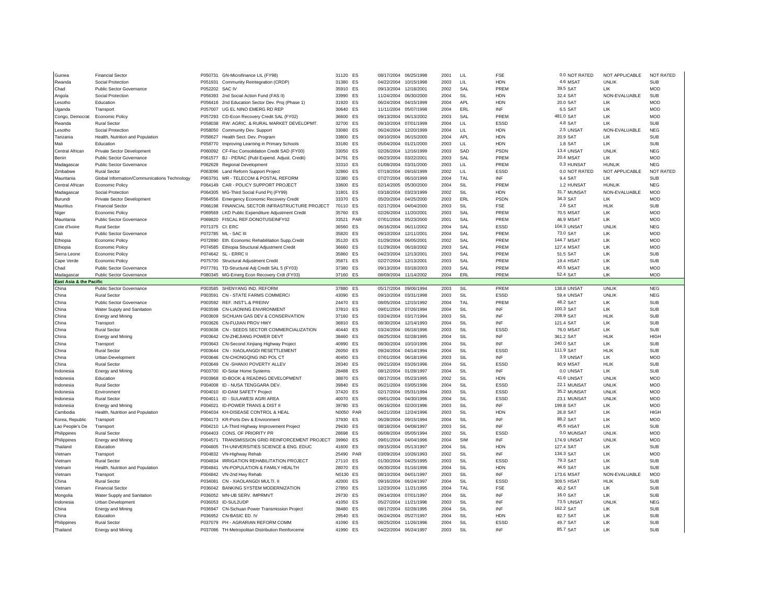| Guinea                  | <b>Financial Sector</b>                         |                | P050731 GN-Microfinance LIL (FY98)                                                    | 31120 ES             |     | 08/17/2004 06/25/1998                          |                          | 2001         | LIL        | <b>FSE</b>  | 0.0 NOT RATED           | NOT APPLICABLE            | <b>NOT RATED</b>         |
|-------------------------|-------------------------------------------------|----------------|---------------------------------------------------------------------------------------|----------------------|-----|------------------------------------------------|--------------------------|--------------|------------|-------------|-------------------------|---------------------------|--------------------------|
| Rwanda                  | Social Protection                               | P051931        | Community Reintegration (CRDP)                                                        | 31380 ES             |     | 04/22/2004                                     | 10/15/1998               | 2003         | LIL        | <b>HDN</b>  | 4.6 MSAT                | <b>UNLIK</b>              | SUB                      |
| Chad                    | <b>Public Sector Governance</b>                 | P052202 SAC IV |                                                                                       | 35910 ES             |     | 09/13/2004                                     | 12/18/2001               | 2002         | SAL        | PREM        | 39.5 SAT                | 1 IK                      | <b>MOD</b>               |
| Angola                  | Social Protection                               |                | P056393 2nd Social Action Fund (FAS II)                                               | 33990 ES             |     | 11/24/2004                                     | 06/30/2000               | 2004         | SIL        | <b>HDN</b>  | 32.4 SAT                | NON-EVALUABLE             | <b>SUB</b>               |
| Lesotho                 | Education                                       |                | P056416 2nd Education Sector Dev. Proj (Phase 1)                                      | 31920 ES             |     | 06/24/2004                                     | 04/15/1999               | 2004         | <b>APL</b> | <b>HDN</b>  | 20.0 SAT                | 11K                       | <b>MOD</b>               |
| Uganda                  | Transport                                       |                | P057007 UG EL NINO EMERG RD REP                                                       | 30640 ES             |     | 11/11/2004                                     | 05/07/1998               | 2004         | ERL        | INF         | 6.5 SAT                 | LIK                       | <b>MOD</b>               |
| Congo, Democrat         | <b>Economic Policy</b>                          |                | P057293 CD-Econ Recovery Credit SAL (FY02)                                            | 36600 ES             |     | 09/13/2004                                     | 06/13/2002               | 2003         | SAL        | PREM        | 481.0 SAT               | 1 IK                      | <b>MOD</b>               |
| Rwanda                  | <b>Rural Sector</b>                             |                | P058038 RW: AGRIC. & RURAL MARKET DEVELOPMT.                                          | 32700 ES             |     | 09/10/2004                                     | 07/01/1999               | 2004         | LIL        | ESSD        | 4.8 SAT                 | <b>IK</b>                 | <b>SUB</b>               |
| Lesotho                 | Social Protection                               |                | P058050 Community Dev. Support                                                        | 33080 FS             |     | 06/24/2004                                     | 12/20/1999               | 2004         | $\perp$    | <b>HDN</b>  | 2.5 UNSAT               | NON-EVALUABLE             | <b>NFG</b>               |
| Tanzania                | Health, Nutrition and Population                |                | P058627 Health Sect. Dev. Program                                                     | 33800 ES             |     | 09/10/2004                                     | 06/15/2000               | 2004         | APL        | <b>HDN</b>  | 20.9 SAT                | 1 IK                      | <b>SUB</b>               |
| Mali                    | Education                                       |                | P058770 Improving Learning in Primary Schools                                         | 33180                | ES  | 05/04/2004                                     | 01/21/2000               | 2003         | LIL        | <b>HDN</b>  | 1.8 SAT                 | LIK                       | <b>SUB</b>               |
| Central African         | Private Sector Development                      |                | P060092 CF-Fisc Consolidation Credit SAD (FY00)                                       | 33050                | ES  | 02/26/2004                                     | 12/16/1999               | 2003         | SAD        | PSDN        | 13.4 UNSAT              | <b>UNLIK</b>              | <b>NEG</b>               |
| Benin                   | <b>Public Sector Governance</b>                 |                | P061577 BJ - PERAC (Publ Expend. Adjust. Credit)                                      | 34791 FS             |     | 06/23/2004                                     | 03/22/2001               | 2003         | SAI        | PREM        | <b>20.4 MSAT</b>        | 11K                       | <b>MOD</b>               |
| Madagascar              | Public Sector Governance                        |                | P062628 Regional Development                                                          | 33310 ES             |     | 01/08/2004                                     | 03/31/2000               | 2003         | LIL        | PREM        | 0.3 HUNSAT              | <b>HUNLIK</b>             | <b>NEG</b>               |
| Zimbabwe                | <b>Rural Sector</b>                             |                | P063096 Land Reform Support Project                                                   | 32860 ES             |     | 07/19/2004                                     | 09/16/1999               | 2002         | $\perp$    | ESSD        | 0.0 NOT RATED           | NOT APPLICABLE            | <b>NOT RATED</b>         |
| Mauritania              | Global Information/Communications Technology    |                | P063791 MR - TELECOM & POSTAL REFORM                                                  | 32380 ES             |     | 07/27/2004                                     | 06/10/1999               | 2004         | <b>TAL</b> | INF         | 9.4 SAT                 | LIK                       | <b>SUB</b>               |
| Central African         | <b>Economic Policy</b>                          |                | P064149 CAR - POLICY SUPPORT PROJECT                                                  | 33600 FS             |     | 02/14/2005                                     | 05/30/2000               | 2004         | SII        | PRFM        | 1.2 HUNSAT              | <b>HUNLIK</b>             | <b>NEG</b>               |
|                         |                                                 |                |                                                                                       | 31801 ES             |     | 03/18/2004                                     | 03/23/1999               | 2002         | SIL        | <b>HDN</b>  | 31.7 MUNSAT             |                           | <b>MOD</b>               |
| Madagascar              | Social Protection                               |                | P064305 MG-Third Social Fund Prj (FY99)                                               | 33370 ES             |     | 05/20/2004                                     | 04/25/2000               | 2003         | ERL        | PSDN        | 34.3 SAT                | NON-EVALUABLE<br>LIK      | <b>MOD</b>               |
| Burundi                 | <b>Private Sector Development</b>               |                | P064556 Emergency Economic Recovery Credit                                            |                      |     |                                                |                          |              |            |             |                         |                           |                          |
| Mauritius               | <b>Financial Sector</b>                         |                | P066198 FINANCIAL SECTOR INFRASTRUCTURE PROJECT                                       | 70110                | ES  | 02/17/2004                                     | 04/04/2000               | 2003         | SIL        | <b>FSE</b>  | 2.6 SAT                 | HLIK                      | <b>SUB</b>               |
| Niger                   | <b>Economic Policy</b>                          |                | P069569 LKD Public Expenditure Adjustment Credit                                      | 35760 ES             |     | 02/26/2004                                     | 11/20/2001               | 2003         | SAL        | PREM        | 70.5 MSAT               | LIK                       | <b>MOD</b>               |
| Mauritania              | <b>Public Sector Governance</b>                 |                | P069820 FISCAL REF.DONOTUSEINFY02                                                     | 33521 PAR            |     | 07/01/2004                                     | 05/23/2000               | 2001         | SAL        | PREM        | <b>46.9 MSAT</b>        | LIK                       | <b>MOD</b>               |
| Cote d'Ivoire           | <b>Rural Sector</b>                             |                | P071375 CI: ERC                                                                       | 36560 ES             |     | 06/16/2004                                     | 06/11/2002               | 2004         | SAL        | ESSD        | 104.3 UNSAT             | <b>UNLIK</b>              | <b>NEG</b>               |
| Mali                    | Public Sector Governance                        |                | P072785 ML - SAC III                                                                  | 35820 ES             |     | 09/10/2004                                     | 12/11/2001               | 2004         | SAL        | PREM        | 73.0 SAT                | LIK                       | <b>MOD</b>               |
| Ethiopia                | <b>Economic Policy</b>                          |                | P072890 Eth. Economic Rehabilitation Supp.Credit                                      | 35120 ES             |     | 01/29/2004                                     | 06/05/2001               | 2002         | SAI        | PREM        | 144.7 MSAT              | 11K                       | <b>MOD</b>               |
| Ethiopia                | <b>Economic Policy</b>                          |                | P074585 Ethiopia Structural Adjustment Credit                                         | 36660 ES             |     | 01/29/2004                                     | 06/18/2002               | 2003         | SAL        | PREM        | 127.4 MSAT              | <b>IK</b>                 | <b>MOD</b>               |
| Sierra Leone            | Economic Policy                                 |                | P074642 SL - ERRC II                                                                  | 35860 ES             |     | 04/23/2004                                     | 12/13/2001               | 2003         | SAL        | PREM        | 51.5 SAT                | LIK                       | <b>SUB</b>               |
| Cape Verde              | Economic Policy                                 |                | P075700 Structural Adjustment Credit                                                  | 35871                | ES  | 02/27/2004                                     | 12/13/2001               | 2003         | SAI        | PREM        | <b>19.4 HSAT</b>        | LIK                       | <b>SUB</b>               |
| Chad                    | <b>Public Sector Governance</b>                 | P077781        | TD-Structural Adj Credit SAL 5 (FY03)                                                 | 37380 ES             |     | 09/13/2004                                     | 03/18/2003               | 2003         | SAI        | PREM        | 40.5 MSAT               | 11K                       | <b>MOD</b>               |
| Madagascar              | Public Sector Governance                        |                | P080345 MG-Emerg Econ Recovery Crdt (FY03)                                            | 37160 ES             |     | 08/09/2004 11/14/2002                          |                          | 2004         | ERL        | PREM        | 52.4 SAT                | LIK                       | <b>MOD</b>               |
| East Asia & the Pacific |                                                 |                |                                                                                       |                      |     |                                                |                          |              |            |             |                         |                           |                          |
| China                   | <b>Public Sector Governance</b>                 |                | P003585 SHENYANG IND, REFORM                                                          | 37880 ES             |     | 05/17/2004                                     | 09/06/1994               | 2003         | SIL        | PREM        | <b>138.8 UNSAT</b>      | <b>UNLIK</b>              | <b>NEG</b>               |
| China                   | <b>Rural Sector</b>                             |                | P003591 CN - STATE FARMS COMMERCI                                                     | 43090 ES             |     | 09/10/2004                                     | 03/31/1998               | 2003         | SIL        | ESSD        | 59.4 UNSAT              | <b>UNLIK</b>              | <b>NEG</b>               |
|                         |                                                 |                |                                                                                       |                      |     |                                                |                          |              |            |             |                         |                           |                          |
| China                   | <b>Public Sector Governance</b>                 |                | P003592 RFF. INST'L & PREINV                                                          | 24470 FS             |     | 08/05/2004                                     | 12/15/1992               | 2004         | TAL        | PREM        | 48.2 SAT                | LIK                       | <b>SUB</b>               |
| China                   |                                                 |                | P003598 CN-LIAONING ENVIRONMENT                                                       | 37810 ES             |     | 09/01/2004                                     | 07/26/1994               | 2004         | SIL        | INF         | 100.3 SAT               | LIK                       | <b>SUB</b>               |
|                         | Water Supply and Sanitation                     |                |                                                                                       |                      |     |                                                |                          | 2003         |            | INF         | 208.9 SAT               |                           |                          |
| China                   | <b>Energy and Mining</b>                        |                | P003609 SICHUAN GAS DEV & CONSERVATION                                                | 37160 ES             |     | 03/24/2004                                     | 03/17/1994               |              | SIL        | INF         |                         | <b>HLIK</b>               | <b>SUB</b>               |
| China<br>China          | Transport                                       |                | P003626 CN-FUJIAN PROV HWY                                                            | 36810<br>40440 FS    | ES  | 08/30/2004<br>03/24/2004                       | 12/14/1993<br>06/18/1996 | 2004         | SIL        |             | 121.4 SAT               | LIK                       | <b>SUB</b>               |
|                         | <b>Rural Sector</b>                             |                | P003638 CN - SEEDS SECTOR COMMERCIALIZATION                                           |                      |     |                                                |                          | 2003         | SIL        | ESSD        | <b>76.0 MSAT</b>        | LIK                       | <b>SUB</b>               |
| China                   | <b>Energy and Mining</b>                        |                | P003642 CN-ZHEJIANG POWER DEVT                                                        | 38460 ES             |     | 08/25/2004                                     | 02/28/1995               | 2004         | SIL        | INF         | 361.2 SAT               | HLIK                      | <b>HIGH</b>              |
| China                   | Transport                                       |                | P003643 CN-Second Xinjiang Highway Project                                            | 40990 ES             |     | 08/30/2004                                     | 10/10/1996               | 2004         | SIL        | INF         | 240.0 SAT               | LIK                       | <b>SUB</b>               |
| China                   | <b>Rural Sector</b>                             |                | P003644 CN - XIAOLANGDI RESETTLEMENT                                                  | 26050 ES             |     | 09/24/2004                                     | 04/14/1994               | 2004         | SIL        | ESSD        | 111.9 SAT               | HLIK                      | <b>SUB</b>               |
| China                   | <b>Urban Development</b>                        |                | P003646 CN-CHONGQING IND POL CT                                                       | 40450 ES             |     | 07/01/2004                                     | 06/18/1996               | 2003         | SIL        | INF         | 3.9 UNSAT               | LIK                       | <b>MOD</b>               |
| China                   | <b>Rural Sector</b>                             |                | P003649 CN -SHANXI POVERTY ALLEV                                                      | 28340 ES             |     | 09/21/2004                                     | 03/26/1996               | 2004         | SII        | <b>ESSD</b> | 90.9 MSAT               | <b>HLIK</b>               | <b>SUB</b>               |
| Indonesia               | <b>Energy and Mining</b>                        |                | P003700 ID-Solar Home Systems                                                         | 28488 ES             |     | 08/12/2004                                     | 01/28/1997               | 2004         | SIL        | INF         | 0.0 UNSAT               | LIK                       | <b>SUB</b>               |
| Indonesia               | Education                                       | P003968        | ID-BOOK & READING DEVELOPMENT                                                         | 38870                | ES  | 08/17/2004                                     | 05/23/1995               | 2002         | SIL        | <b>HDN</b>  | 41.6 UNSAT              | UNLIK                     | <b>MOD</b>               |
| ndonesia                | <b>Rural Sector</b>                             |                | P004008 ID - NUSA TENGGARA DEV.                                                       | 39840                | ES  | 06/21/2004                                     | 03/05/1996               | 2004         | SII        | ESSD        | 22.1 MUNSAT             | <b>UNLIK</b>              | <b>MOD</b>               |
| Indonesia               | Environment                                     |                | P004010 ID-DAM SAFETY Project                                                         | 37420 ES             |     | 02/17/2004                                     | 05/31/1994               | 2003         | SII        | ESSD        | 35.2 MUNSAT             | UNLIK                     | <b>MOD</b>               |
| Indonesia               | <b>Rural Sector</b>                             |                | P004011 ID - SULAWESI AGRI AREA                                                       | 40070 ES             |     | 09/01/2004                                     | 04/30/1996               | 2004         | SIL        | ESSD        | 23.1 MUNSAT             | UNLIK                     | <b>MOD</b>               |
| Indonesia               | Energy and Mining                               | P004021        | ID-POWER TRANS & DIST II                                                              | 39780 FS             |     | 06/16/2004                                     | 02/20/1996               | 2003         | SII        | INF         | 199.8 SAT               | LIK                       | <b>MOD</b>               |
| Cambodia                | Health, Nutrition and Population                |                | P004034 KH-DISEASE CONTROL & HEAL                                                     | N0050                | PAR | 04/21/2004                                     | 12/24/1996               | 2003         | SIL        | <b>HDN</b>  | 26.8 SAT                | LIK                       | <b>HIGH</b>              |
| Korea, Republic         | Transport                                       |                | P004173 KR-Ports Dev & Environment                                                    | 37930 ES             |     | 06/28/2004                                     | 09/15/1994               | 2004         | SII        | INF         | 88.2 SAT                | <b>IK</b>                 | <b>MOD</b>               |
| Lao People's De         | Transport                                       |                | P004210 LA-Third Highway Improvement Project                                          | 29430 ES             |     | 08/18/2004                                     | 04/08/1997               | 2003         | SIL        | INF         | 45.6 HSAT               | <b>IK</b>                 | <b>SUB</b>               |
| Philippines             | <b>Rural Sector</b>                             |                | P004403 CONS. OF PRIORITY PR                                                          | 28698                | ES  | 06/08/2004                                     | 05/05/1994               | 2002         | SII        | ESSD        | 0.0 MUNSAT              | <b>UNLIK</b>              | <b>MOD</b>               |
| Philippines             | Energy and Mining                               | P004571        | TRANSMISSION GRID REINFORCEMENT PROJECT                                               | 39960                | ES  | 09/01/2004                                     | 04/04/1996               | 2004         | <b>SIM</b> | INF         | <b>174.9 UNSAT</b>      | UNLIK                     | <b>MOD</b>               |
| Thailand                | <b>Education</b>                                |                | P004805 TH-UNIVERSITIES SCIENCE & ENG. EDUC                                           | 41600 ES             |     | 09/15/2004                                     | 05/13/1997               | 2004         | SIL        | <b>HDN</b>  | 127.4 SAT               | LIK                       | <b>SUB</b>               |
| Vietnam                 | Transport                                       |                | P004832 VN-Highway Rehab                                                              | 25490 PAR            |     | 03/09/2004                                     | 10/26/1993               | 2002         | SIL        | INF         | 134.3 SAT               | LIK                       | <b>MOD</b>               |
| Vietnam                 | <b>Rural Sector</b>                             |                | P004834 IRRIGATION REHABILITATION PROJECT                                             | 27110 ES             |     | 01/30/2004                                     | 04/25/1995               | 2003         | SIL        | ESSD        | 79.3 SAT                | <b>IK</b>                 | <b>SUB</b>               |
| Vietnam                 | Health, Nutrition and Population                | P004841        | VN-POPULATION & FAMILY HEALTH                                                         | 28070 ES             |     | 06/30/2004                                     | 01/16/1996               | 2004         | SIL        | <b>HDN</b>  | 44.6 SAT                | <b>IK</b>                 | <b>SUB</b>               |
| Vietnam                 | Transport                                       |                | P004842 VN-2nd Hwy Rehab                                                              | N0130 FS             |     | 08/10/2004                                     | 04/01/1997               | 2003         | SIL        | INF         | 173.6 MSAT              | NON-EVALUABLE             | <b>MOD</b>               |
| China                   | <b>Rural Sector</b>                             |                | P034081 CN - XIAOLANGDI MULTI. II                                                     | 42000 ES             |     | 09/16/2004                                     | 06/24/1997               | 2004         | SIL        | <b>ESSD</b> | 309.5 HSAT              | HLIK                      | <b>SUB</b>               |
| Vietnam                 | <b>Financial Sector</b>                         |                | P036042 BANKING SYSTEM MODERNIZATION                                                  | 27850 ES             |     | 12/23/2004                                     | 11/21/1995               | 2004         | TAL        | <b>FSE</b>  | 40.2 SAT                | LIK                       | <b>SUB</b>               |
|                         |                                                 |                | P036052 MN-UB SERV. IMPRMVT                                                           | 29730 ES             |     | 09/14/2004                                     | 07/01/1997               | 2004         | SIL        | INF         | 16.0 SAT                | LIK                       | <b>SUB</b>               |
| Mongolia                | Water Supply and Sanitation                     |                |                                                                                       |                      |     |                                                |                          |              |            | INF         |                         |                           |                          |
| Indonesia<br>China      | Urban Development                               |                | P036053 ID-SUL2UDP<br>P036947 CN-Sichuan Power Transmission Project                   | 41050 ES<br>38480 FS |     | 05/27/2004                                     | 11/21/1996<br>02/28/1995 | 2003<br>2004 | SIL<br>SIL | INF         | 73.5 UNSAT<br>162.2 SAT | <b>UNLIK</b><br><b>IK</b> | <b>NEG</b><br><b>SUB</b> |
|                         | Energy and Mining                               |                | P036952 CN-BASIC ED. IV                                                               |                      |     | 08/17/2004                                     |                          | 2004         | SII        | <b>HDN</b>  | 82.7 SAT                | 1 IK                      |                          |
| China                   | Education                                       |                |                                                                                       | 29540 ES             |     | 06/24/2004 05/27/1997                          |                          |              |            |             |                         |                           | <b>SUB</b>               |
| Philippines<br>Thailand | <b>Rural Sector</b><br><b>Energy and Mining</b> |                | P037079 PH - AGRARIAN REFORM COMM<br>P037086 TH-Metropolitan Distribution Reinforceme | 41090 FS<br>41990 ES |     | 08/25/2004 11/26/1996<br>04/22/2004 06/24/1997 |                          | 2004<br>2003 | SII<br>SII | ESSD<br>INF | 49.7 SAT<br>85.7 SAT    | <b>IIK</b><br>11K         | SUB<br><b>SUB</b>        |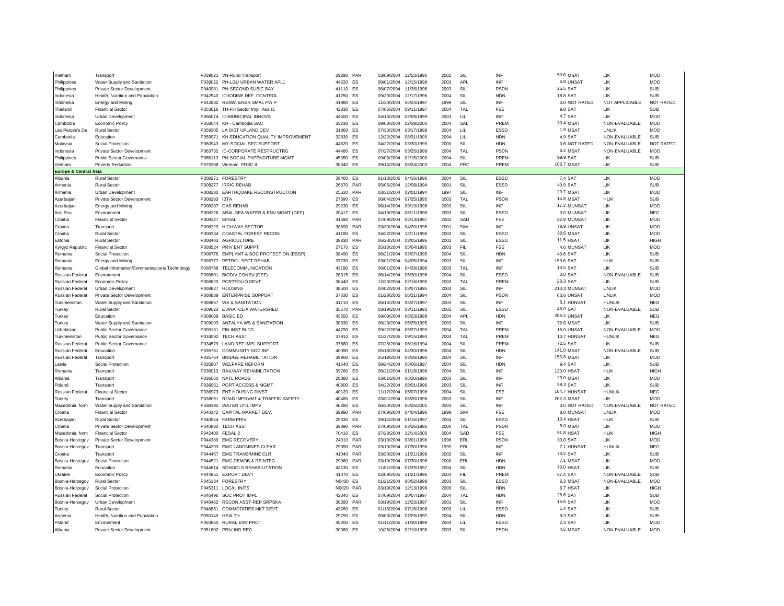| Vietnam                          | Transport                                                   | P039021       | <b>VN-Rural Transport</b>               | 29290 PAR |           | 03/09/2004            | 12/23/1996            | 2002 | SIL          | INF         | <b>50.6 MSAT</b>   | 11K             | <b>MOD</b>               |
|----------------------------------|-------------------------------------------------------------|---------------|-----------------------------------------|-----------|-----------|-----------------------|-----------------------|------|--------------|-------------|--------------------|-----------------|--------------------------|
| Philippines                      | Water Supply and Sanitation                                 |               | P039022 PH-LGU URBAN WATER APL1         | 44220 ES  |           | 09/01/2004            | 12/15/1998            | 2003 | <b>APL</b>   | INF         | 4.8 UNSAT          | LIK             | <b>MOD</b>               |
| Philippines                      | Private Sector Development                                  | P040981       | PH-SECOND SUBIC BAY                     | 41110 ES  |           | 06/07/2004            | 11/26/1996            | 2003 | SIL          | PSDN        | 25.5 SAT           | LIK             | <b>SUB</b>               |
| Indonesia                        | Health, Nutrition and Population                            |               | P042540 ID-IODINE DEF. CONTROL          | 41250 ES  |           | 09/20/2004            | 12/17/1996            | 2004 | SIL          | <b>HDN</b>  | 18.8 SAT           | I IK            | <b>SUB</b>               |
| Indonesia                        | <b>Energy and Mining</b>                                    |               | P042882 RENW, ENER SMAL PW P            | 41980 FS  |           | 11/30/2004            | 06/24/1997            | 1999 | SII          | INF         | 0.0 NOT RATED      | NOT APPLICABLE  | NOT RATED                |
| Thailand                         | <b>Financial Sector</b>                                     |               | P053616 TH-Fin Sector Impl. Assist      | 42330     | <b>FS</b> | 07/06/2004            | 09/11/1997            | 2004 | TAI          | FSE         | 9.8 SAT            | I IK            | <b>SUB</b>               |
| Indonesia                        | Urban Development                                           |               | P056074 ID-MUNICIPAL INNOVS             | 44400 FS  |           | 04/13/2004            | 02/09/1999            | 2003 | $\mathsf{H}$ | INF         | 4.7 SAT            | LIK             | <b>MOD</b>               |
| Cambodia                         | <b>Economic Policy</b>                                      |               | P058544 KH - Cambodia SAC               | 33230     | ES        | 09/08/2004            | 02/29/2000            | 2004 | SAL          | PREM        | 30.4 MSAT          | NON-EVALUABLE   | <b>MOD</b>               |
| Lao People's De                  | <b>Rural Sector</b>                                         |               | P059305 LA DIST UPLAND DEV              | 31860     | ES        | 07/30/2004            | 03/17/1999            | 2004 | $\perp$      | ESSD        | 1.9 MSAT           | <b>I INI IK</b> | <b>MOD</b>               |
| Cambodia                         | Education                                                   | P059971       | KH-EDUCATION QUALITY IMPROVEMENT        | 32830     | ES        | 12/22/2004            | 08/31/1999            | 2004 | LIL          | <b>HDN</b>  | 4.9 SAT            | NON-EVALUABLE   | <b>SUB</b>               |
| Malaysia                         | Social Protection                                           |               | P060943 MY-SOCIAL SEC SUPPORT           | 44520     | <b>FS</b> | 04/22/2004            | 03/30/1999            | 2000 | SIL          | <b>HDN</b>  | 0.6 NOT RATED      | NON-EVALUABLE   | <b>NOT RATED</b>         |
| Indonesia                        | Private Sector Development                                  |               | P063732 ID-CORPORATE RESTRUCTRG         | 44480 ES  |           | 07/27/2004            | 03/25/1999            | 2004 | TAL          | PSDN        | 6.2 MSAT           | NON-EVALUABLE   | <b>MOD</b>               |
| Philippines                      | Public Sector Governance                                    |               | P065113 PH-SOCIAL EXPENDITURE MGMT      | 45350 ES  |           | 09/03/2004            | 02/15/2000            | 2004 | SIL          | PREM        | 99.9 SAT           | LIK             | <b>SUB</b>               |
| Vietnam                          | Poverty Reduction                                           |               | P075398 Vietnam PRSC II                 | 38040 ES  |           | 09/14/2004            | 06/24/2003            | 2004 | PRC          | PREM        | 106.7 MSAT         | 1 IK            | <b>SUB</b>               |
| <b>Europe &amp; Central Asia</b> |                                                             |               |                                         |           |           |                       |                       |      |              |             |                    |                 |                          |
| Albania                          | <b>Rural Sector</b>                                         |               | P008271 FORESTRY                        | 28460 ES  |           | 01/13/2005            | 04/16/1996            | 2004 | SIL          | ESSD        | 7.4 SAT            | LIK             | <b>MOD</b>               |
| Armenia                          | <b>Rural Sector</b>                                         |               | P008277 IRRIG REHAB                     | 26670 PAR |           | 05/05/2004            | 12/08/1994            | 2001 | SIL          | ESSD        | 40.9 SAT           | LIK             | <b>SUB</b>               |
| Armenia                          | Urban Development                                           |               | P008280 EARTHQUAKE RECONSTRUCTION       | 25620     | PAR       | 03/31/2004            | 02/01/1994            | 1997 | SIL          | INF         | <b>29.7 MSAT</b>   | LIK             | <b>MOD</b>               |
| Azerbaijar                       | <b>Private Sector Development</b>                           | P008283       | IBT/                                    | 27690     | ES        | 06/04/2004            | 07/25/1995            | 2003 | <b>TAL</b>   | <b>PSDN</b> | <b>14.8 MSAT</b>   | HLIK            | <b>SUB</b>               |
| Azerbaijan                       | <b>Energy and Mining</b>                                    | P008287       | <b>GAS REHAB</b>                        | 29230     | <b>FS</b> | 06/14/2004            | 09/19/1996            | 2003 | SIL          | INF         | 17.2 MUNSAT        | LIK             | <b>MOD</b>               |
| Aral Sea                         | Environment                                                 |               | P008326 ARAL SEA WATER & ENV MGMT (GEF) | 20417     | ES        | 04/19/2004            | 06/11/1998            | 2003 | SII          | ESSD        | 0.0 MUNSAT         | 11K             | <b>NFG</b>               |
| Croatia                          | <b>Financial Sector</b>                                     | P008327 EFSAL |                                         | 41590 PAR |           | 07/09/2004            | 05/13/1997            | 2002 | SAD          | <b>FSE</b>  | 82.9 MUNSAT        | LIK             | <b>MOD</b>               |
| Croatia                          | Transport                                                   |               | P008329 HIGHWAY SECTOR                  | 38690     | PAR       | 03/30/2004            | 04/20/1995            | 2001 | SIM          | INF         | <b>79.9 UNSAT</b>  | LIK             | <b>MOD</b>               |
| Croatia                          | <b>Rural Sector</b>                                         |               | P008334 COASTAL FOREST RECON            | 41190 ES  |           | 04/22/2004            | 12/11/1996            | 2003 | SII          | ESSD        | 38.6 MSAT          | 1 IK            | MOD                      |
| Estonia                          | <b>Rural Sector</b>                                         |               | P008403 AGRICULTURE                     | 39830     | PAR       | 06/28/2004            | 03/05/1996            | 2002 | SIL          | ESSD        | 11.5 HSAT          | 1 IK            | <b>HIGH</b>              |
| Kyrgyz Republic                  | <b>Financial Sector</b>                                     |               | P008524 PRIV ENT SUPPT                  | 27170     | <b>FS</b> | 05/18/2004            | 05/04/1995            | 2003 | FII.         | <b>FSF</b>  | 4.6 MUNSAT         | LIK             | <b>MOD</b>               |
| Romania                          | Social Protection                                           |               | P008776 EMPLYMT & SOC PROTECTION (ESSP) | 38490     | ES        | 06/21/2004            | 03/07/1995            | 2004 | SIL          | <b>HDN</b>  | 43.6 SAT           | LIK             | <b>SUB</b>               |
| Romania                          | <b>Energy and Mining</b>                                    |               | P008777 PETROL SECT REHAB               | 37230     | ES        | 03/01/2004            | 04/05/1994            | 2003 | SIL          | INF         | 159.6 SAT          | <b>HLIK</b>     | <b>SUB</b>               |
| Romania                          |                                                             | P008788       | TELECOMMUNICATION                       | 43190 ES  |           | 06/01/2004            | 04/28/1998            | 2003 | TAI          | INF         | 13.5 SAT           | 1 IK            | SLIB                     |
| Russian Federat                  | Global Information/Communications Technology<br>Environment | P008801       | <b>BIODIV CONSV (GEF)</b>               | 28315 ES  |           | 06/14/2004            | 05/30/1996            | 2004 | SIL          | <b>ESSD</b> | 0.0 SAT            | NON-FVALUABLE   | SUB                      |
| <b>Russian Federat</b>           |                                                             |               | P008823 PORTFOLIO DEVT                  | 38440 ES  |           | 12/23/2004            | 02/16/1995            | 2003 | TAL          | PREM        | 28.3 SAT           | LIK             | <b>SUB</b>               |
|                                  | Economic Policy                                             | P008827       | <b>HOUSING</b>                          |           |           | 04/02/2004            | 03/07/1995            |      | SIL          | INF         | 210.3 MUNSAT       | <b>UNLIK</b>    | <b>MOD</b>               |
| Russian Federat                  | Urban Development                                           |               |                                         | 38500 ES  |           |                       |                       | 2003 |              |             |                    |                 |                          |
| <b>Russian Federat</b>           | <b>Private Sector Development</b>                           |               | P008839 ENTERPRISE SUPPORT              | 37630 ES  |           |                       | 01/28/2005 06/21/1994 | 2004 | SIL          | PSDN        | 63.6 UNSAT         | <b>UNLIK</b>    | <b>MOD</b>               |
| Turkmenistan                     | Water Supply and Sanitation                                 |               | P008867 WS & SANITATION                 | 41710 ES  |           | 06/16/2004            | 05/27/1997            | 2003 | SII          | INF         | 6.1 HUNSAT         | <b>HUNLIK</b>   | <b>NFG</b><br>SUB        |
| Turkey                           | <b>Rural Sector</b>                                         |               | P009023 E ANATOLIA WATERSHED            | 35670 PAR |           | 03/19/2004            | 03/11/1993            | 2002 | SIL          | <b>ESSD</b> | 48.0 SAT           | NON-EVALUABLE   |                          |
| Turkey                           | Education                                                   |               | P009089 BASIC FD                        | 43550     | ES        | 09/09/2004            | 06/23/1998            | 2004 | APL          | <b>HDN</b>  | <b>286.2 UNSAT</b> | LIK             | <b>NEG</b>               |
| Turkey                           | Water Supply and Sanitation                                 |               | P009093 ANTALYA WS & SANITATION         | 38930     | ES        | 06/29/2004            | 05/25/1995            | 2003 | SIL          | INF<br>PREM | 72.6 MSAT          | LIK             | <b>SUB</b><br><b>MOD</b> |
| Uzbekistan                       | Public Sector Governance                                    |               | P009131 FIN INST BLDG                   | 44790 ES  |           | 09/22/2004            | 05/27/1999            | 2004 | TAI          |             | 15.0 UNSAT         | NON-EVALUABLE   |                          |
| Turkmenistan                     | <b>Public Sector Governance</b>                             |               | P034092 TECH ASST                       | 37910 ES  |           | 01/27/2005            | 09/15/1994            | 2004 | <b>TAL</b>   | PREM        | 10.7 HUNSAT        | <b>HUNLIK</b>   | <b>NEG</b>               |
| <b>Russian Federat</b>           | Public Sector Governance                                    |               | P034579 LAND REF IMPL SUPPORT           | 37560 FS  |           | 07/28/2004            | 06/16/1994            | 2004 | SII          | PREM        | 72.5 SAT           | <b>IK</b>       | SUB                      |
| Russian Federat                  | Education                                                   | P035761       | COMMUNITY SOC INF                       | 40090     | ES        | 05/18/2004            | 04/30/1996            | 2004 | SIL          | <b>HDN</b>  | 141.0 MSAT         | NON-EVALUABLE   | <b>SUB</b>               |
| <b>Russian Federat</b>           | Transport                                                   |               | P035764 BRIDGE REHABILITATION           | 39900 ES  |           | 05/19/2004            | 03/28/1996            | 2004 | SIL          | INF         | <b>153.8 MSAT</b>  | LIK             | <b>MOD</b>               |
| Latvia                           | Social Protection                                           |               | P035807 WELFARE REFORM                  | 41540     | ES        | 08/24/2004            | 05/06/1997            | 2004 | SIL          | <b>HDN</b>  | 9.4 SAT            | LIK             | <b>SUB</b>               |
| Romania                          | Transport                                                   |               | P036013 RAILWAY REHABILITATION          | 39760 ES  |           | 06/21/2004            | 01/18/1996            | 2004 | SIL          | INF         | 120.0 HSAT         | HLIK            | <b>HIGH</b>              |
| Albania                          | Transport                                                   | P036060       | <b>NATL ROADS</b>                       | 28880     | ES        | 03/01/2004            | 06/20/1996            | 2003 | SIL          | INF         | <b>23.0 MSAT</b>   | LIK             | <b>MOD</b>               |
| Poland                           | Transport                                                   | P036061       | PORT ACCESS & MGMT                      | 40800     | <b>FS</b> | 04/22/2004            | 08/01/1996            | 2003 | SII          | INF         | 58.3 SAT           | LIK             | <b>SUB</b>               |
| <b>Russian Federat</b>           | <b>Financial Sector</b>                                     |               | P036973 ENT HOUSING DIVST               | 40120 ES  |           | 11/12/2004            | 05/07/1996            | 2004 | SIL          | ESE         | 104.7 HUNSAT       | <b>HUNLIK</b>   | <b>NFG</b>               |
| Turkey                           | Transport                                                   | P038091       | ROAD IMPRVMT & TRAFFIC SAFETY           | 40480     | ES        | 03/01/2004            | 06/20/1996            | 2003 | SIL          | INF         | 202.3 MSAT         | LIK             | <b>MOD</b>               |
| Macedonia, form                  | Water Supply and Sanitation                                 |               | P038395 WATER UTIL IMPV                 | 46280     | <b>FS</b> | 06/30/2004            | 06/26/2001            | 2003 | SII          | INF         | 0.0 NOT RATED      | NON-EVALUABLE   | <b>NOT RATED</b>         |
| Croatia                          | <b>Financial Sector</b>                                     |               | P040142 CAPITAL MARKET DEV.             | 39990     | PAR       | 07/09/2004            | 04/04/1996            | 1999 | SIM          | <b>FSE</b>  | 8.0 MUNSAT         | <b>UNLIK</b>    | <b>MOD</b>               |
| Azerbaijar                       | <b>Rural Sector</b>                                         |               | P040544 FARM PRIV                       | 29330     | <b>FS</b> | 09/14/2004            | 01/16/1997            | 2004 | SIL          | ESSD        | 13.4 HSAT          | HI IK           | <b>SUB</b>               |
| Croatia                          | <b>Private Sector Development</b>                           |               | P040830 TECH ASST                       | 39890     | PAR       | 07/09/2004            | 03/26/1996            | 2000 | <b>TAL</b>   | <b>PSDN</b> | 5.0 MSAT           | LIK             | <b>MOD</b>               |
| Macedonia, form                  | <b>Financial Sector</b>                                     |               | P042400 FESAL 2                         | 70410 ES  |           | 07/28/2004            | 12/14/2000            | 2004 | SAD          | FSE         | 51.8 HSAT          | <b>HLIK</b>     | <b>HIGH</b>              |
| Bosnia-Herzegov                  | Private Sector Development                                  | P044389       | <b>EMG RECOVERY</b>                     | 24010     | PAR       | 03/19/2004            | 03/01/1996            | 1998 | ERL          | PSDN        | 30.0 SAT           | LIK             | <b>MOD</b>               |
| Bosnia-Herzegov                  | Transport                                                   |               | P044393 EMG LANDMINES CLEAR             | 29050     | PAR       | 03/19/2004            | 07/30/1996            | 1999 | <b>FRI</b>   | INF         | 7.1 HUNSAT         | <b>HUNLIK</b>   | <b>NEG</b>               |
| Croatia                          | Transport                                                   | P044457       | <b>EMG TRANS/MINE CLR</b>               | 41040     | PAR       | 03/30/2004            | 11/21/1996            | 2002 | SII          | INF         | 78.2 SAT           | I IK            | <b>SUB</b>               |
| Bosnia-Herzegov                  | Social Protection                                           | P044521       | <b>EMG DEMOB &amp; REINTEG</b>          | 29060     | PAR       | 03/19/2004            | 07/30/1996            | 2000 | ERL          | <b>HDN</b>  | 7.1 MSAT           | LIK             | <b>MOD</b>               |
| Romania                          | <b>Education</b>                                            |               | P044614 SCHOOLS REHABILITATION          | 42130 FS  |           | 11/01/2004            | 07/29/1997            | 2004 | SII          | <b>HDN</b>  | 70.0 HSAT          | <b>IK</b>       | SLIB                     |
| Ukraine                          | <b>Economic Policy</b>                                      | P044851       | <b>FXPORT DEVT</b>                      | 41070 ES  |           | 02/09/2005            | 11/21/1996            | 2004 | FII.         | PREM        | 67.4 SAT           | NON-EVALUABLE   | <b>SUB</b>               |
| Bosnia-Herzegov                  | <b>Rural Sector</b>                                         |               | P045134 FORESTRY                        | N0400 FS  |           | 01/21/2004            | 06/02/1998            | 2003 | SII          | <b>FSSD</b> | 6.3 MSAT           | NON-EVALUABLE   | <b>MOD</b>               |
| Bosnia-Herzegov                  | Social Protection                                           |               | P045311 LOCAL INITS                     | N0020 PAR |           | 03/19/2004            | 12/13/1996            | 2000 | SIL          | <b>HDN</b>  | 6.7 HSAT           | LIK             | <b>HIGH</b>              |
| Russian Federat                  | Social Protection                                           |               | P046496 SOC PROT IMPL                   | 42340 ES  |           | 07/09/2004            | 10/07/1997            | 2004 | <b>TAL</b>   | <b>HDN</b>  | 25.6 SAT           | LIK             | <b>SUB</b>               |
| Bosnia-Herzegov                  | <b>Urban Development</b>                                    | P048462       | RECON ASST-REP SRPSKA                   | 30280     | PAR       | 03/19/2004            | 12/23/1997            | 2001 | SIL          | INF         | 16.6 SAT           | LIK             | <b>MOD</b>               |
| Turkey                           | <b>Rural Sector</b>                                         | P048851       | <b>COMMODITIES MKT DEVT</b>             | 43760     | ES        | 01/15/2004            | 07/16/1998            | 2003 | LIL          | <b>ESSD</b> | 1.4 SAT            | I IK            | <b>SUB</b>               |
| Armenia                          | Health, Nutrition and Population                            |               | P050140 HEALTH                          | 29790     | ES        | 09/03/2004            | 07/29/1997            | 2004 | SII          | <b>HDN</b>  | 9.3 SAT            | I IK            | SUB                      |
| Poland                           | Fnvironment                                                 |               | P050660 RURAL ENV PROT                  | 45200 FS  |           | 01/11/2005 11/30/1999 |                       | 2004 | $\perp$      | ESSD        | 2.3 SAT            | I IK            | <b>MOD</b>               |
| Albania                          | Private Sector Development                                  |               | P051602 PRIV IND REC                    | 30380 ES  |           | 10/25/2004 02/10/1998 |                       | 2003 | SII          | <b>PSDN</b> | <b>4.5 MSAT</b>    | NON-FVALUABLE   | <b>MOD</b>               |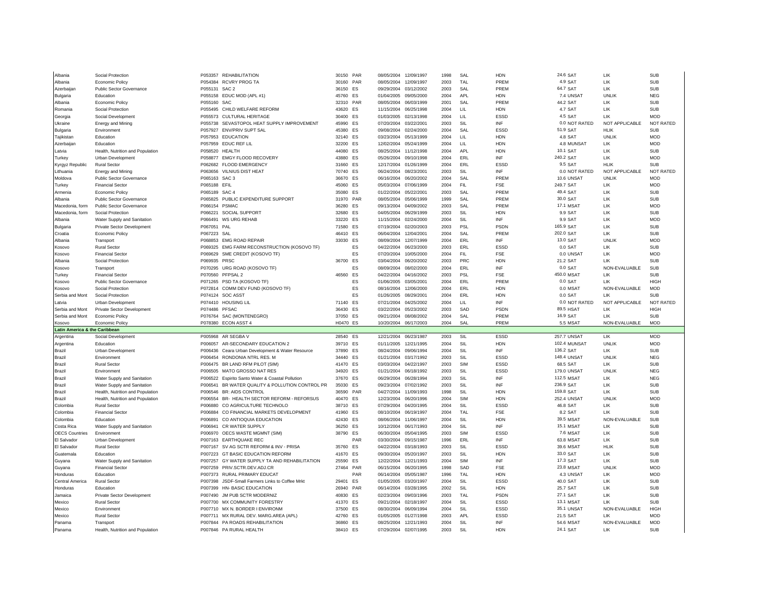| Albania                                  | Social Protection                             |               | P053357 REHABILITATION                                     | 30150 PAR |           | 08/05/2004               | 12/09/1997 | 1998         | SAL        | <b>HDN</b>  | 24.6 SAT              | LIK               | <b>SUB</b>               |
|------------------------------------------|-----------------------------------------------|---------------|------------------------------------------------------------|-----------|-----------|--------------------------|------------|--------------|------------|-------------|-----------------------|-------------------|--------------------------|
| Albania                                  | <b>Economic Policy</b>                        |               | P054384 RCVRY PROG TA                                      | 30160 PAR |           | 08/05/2004               | 12/09/1997 | 2003         | TAL        | PREM        | 4.9 SAT               | LIK               | <b>SUB</b>               |
| Azerbaijar                               | Public Sector Governance                      | P055131       | SAC <sub>2</sub>                                           | 36150 ES  |           | 09/29/2004               | 03/12/2002 | 2003         | SAL        | PREM        | 64.7 SAT              | LIK               | <b>SUB</b>               |
| Bulgaria                                 | Education                                     |               | P055158 EDUC MOD (APL #1)                                  | 45760 ES  |           | 01/04/2005               | 09/05/2000 | 2004         | <b>API</b> | <b>HDN</b>  | 7.4 UNSAT             | <b>UNLIK</b>      | <b>NFG</b>               |
| Albania                                  | <b>Economic Policy</b>                        | P055160 SAC   |                                                            | 32310 PAR |           | 08/05/2004               | 06/03/1999 | 2001         | SAI        | PREM        | 44.2 SAT              | 1 IK              | SUB                      |
|                                          | Social Protection                             |               | P055495 CHILD WELFARE REFORM                               | 43620     | ES        | 11/15/2004               | 06/25/1998 |              | LIL        | <b>HDN</b>  | 4.7 SAT               | 1 IK              | <b>SUB</b>               |
| Romania                                  |                                               |               | P055573 CULTURAL HERITAGE                                  | 30400     | ES        | 01/03/2005               | 02/13/1998 | 2004         | LIL        | ESSD        | 4.5 SAT               | LIK               | <b>MOD</b>               |
| Georgia                                  | Social Development                            | P055738       |                                                            |           | <b>FS</b> |                          |            | 2004<br>2003 | SII        | INF         | 0.0 NOT RATED         | NOT APPLICABLE    | NOT RATED                |
| Ukraine                                  | Energy and Mining                             |               | SEVASTOPOL HEAT SUPPLY IMPROVEMENT                         | 45990     |           | 07/20/2004               | 03/22/2001 |              |            |             |                       |                   |                          |
| Bulgaria                                 | Environment                                   |               | P057927 ENV/PRIV SUPT SAL                                  | 45380     | <b>FS</b> | 09/08/2004               | 02/24/2000 | 2004         | SAL        | <b>ESSD</b> | 51.9 SAT              | HI IK             | SUB                      |
| Tajikistan                               | <b>Education</b>                              |               | P057953 EDUCATION                                          | 32140 FS  |           | 03/23/2004               | 05/13/1999 | 2004         | LIL        | <b>HDN</b>  | 4.8 SAT               | <b>UNLIK</b>      | <b>MOD</b>               |
| Azerbaijar                               | Education                                     |               | P057959 EDUC REF LII                                       | 32200     | ES        | 12/02/2004               | 05/24/1999 | 2004         | LIL        | <b>HDN</b>  | 4.8 MUNSAT            | LIK               | <b>MOD</b>               |
| I atvia                                  | Health, Nutrition and Population              |               | P058520 HEALTH                                             | 44080     | <b>FS</b> | 08/25/2004               | 11/12/1998 | 2004         | <b>APL</b> | <b>HDN</b>  | 10.1 SAT              | LIK               | <b>SUB</b>               |
| Turkey                                   | Urban Development                             |               | P058877 EMGY FLOOD RECOVERY                                | 43880     | ES        | 05/26/2004               | 09/10/1998 | 2004         | ERL        | INF         | 240.2 SAT             | LIK               | <b>MOD</b>               |
| Kyrgyz Republic                          | <b>Rural Sector</b>                           |               | P062682 FLOOD EMERGENCY                                    | 31660 ES  |           | 12/17/2004               | 01/26/1999 | 2004         | ERL        | ESSD        | 9.5 SAT               | HI IK             | <b>SUB</b>               |
| Lithuania                                | <b>Energy and Mining</b>                      |               | P063656 VILNIUS DIST HEAT                                  | 70740 ES  |           | 06/24/2004               | 08/23/2001 | 2003         | SIL        | INF         | 0.0 NOT RATED         | NOT APPLICABLE    | <b>NOT RATED</b>         |
| Moldova                                  | <b>Public Sector Governance</b>               | P065163 SAC 3 |                                                            | 36670 ES  |           | 06/16/2004               | 06/20/2002 | 2004         | SAI        | PRFM        | 10.6 UNSAT            | <b>UNLIK</b>      | <b>MOD</b>               |
| Turkey                                   | <b>Financial Sector</b>                       | P065188 EFIL  |                                                            | 45060     | ES        | 05/03/2004               | 07/06/1999 | 2004         | <b>FIL</b> | <b>FSE</b>  | 249.7 SAT             | LIK               | <b>MOD</b>               |
| Armenia                                  | Economic Policy                               | P065189 SAC 4 |                                                            | 35080 ES  |           | 01/22/2004               | 05/22/2001 | 2003         | SAL        | PREM        | 49.4 SAT              | LIK               | <b>SUB</b>               |
| Albania                                  | <b>Public Sector Governance</b>               |               | P065825 PUBLIC EXPENDITURE SUPPORT                         | 31970 PAR |           | 08/05/2004               | 05/06/1999 | 1999         | SAI        | PREM        | 30.0 SAT              | 11K               | SUB                      |
| Macedonia, form                          | <b>Public Sector Governance</b>               | P066154       | <b>PSMAC</b>                                               | 36280     | <b>FS</b> | 09/13/2004               | 04/09/2002 | 2003         | SAI        | PREM        | 17.1 MSA              | I IK              | <b>MOD</b>               |
| Macedonia, form                          | Social Protection                             | P066221       | <b>SOCIAL SUPPORT</b>                                      | 32680     | ES        | 04/05/2004               | 06/29/1999 | 2003         | SII        | <b>HDN</b>  | 9.9 SAT               | 1 IK              | SUB                      |
| Albania                                  | Water Supply and Sanitation                   |               | P066491 WS URG REHAB                                       | 33220     | ES        | 11/15/2004               | 02/24/2000 | 2004         | SIL        | INF         | 9.9 SAT               | LIK               | <b>MOD</b>               |
| Bulgaria                                 | <b>Private Sector Development</b>             | P067051 PAL   |                                                            | 71580 ES  |           | 07/19/2004               | 02/20/2003 | 2003         | PSL        | PSDN        | 165.9 SAT             | LIK               | <b>SUB</b>               |
| Croatia                                  | Economic Policy                               | P067223 SAL   |                                                            | 46410     | ES        | 06/04/2004               | 12/04/2001 | 2004         | SAL        | PREM        | 202.0 SAT             | LIK               | <b>SUB</b>               |
| Albania                                  | Transport                                     |               | P068853 EMG ROAD REPAIR                                    | 33030     | ES        | 08/09/2004               | 12/07/1999 | 2004         | ERL        | INF         | 13.0 SAT              | <b>UNLIK</b>      | <b>MOD</b>               |
|                                          |                                               |               |                                                            |           |           |                          |            |              |            |             |                       | 11K               |                          |
| Kosovo                                   | <b>Rural Sector</b>                           |               | P069325 EMG FARM RECONSTRUCTION (KOSOVO TF)                |           | ES        | 04/22/2004               | 06/23/2000 | 2003         | ERL        | <b>ESSD</b> | 0.0 SAT               |                   | <b>SUB</b>               |
| Kosovo                                   | Financial Secto                               |               | P069629 SME CREDIT (KOSOVO TF)                             |           | ES        | 07/20/2004               | 10/05/2000 | 2004         | <b>FIL</b> | <b>FSE</b>  | 0.0 UNSAT             | LIK               | <b>MOD</b>               |
| Albania                                  | Social Protection                             | P069935 PRSC  |                                                            | 36700     | ES        | 03/04/2004               | 06/20/2002 | 2003         | <b>PRC</b> | <b>HDN</b>  | 21.2 SAT              | 1 IK              | SUB                      |
| Kosovo                                   | Transport                                     |               | P070295 URG ROAD (KOSOVO TF)                               |           | ES        | 08/09/2004               | 08/02/2000 | 2004         | ERL        | INF         | 0.0 SAT               | NON-EVALUABLE     | <b>SUB</b>               |
| Turkey                                   | <b>Financial Secto</b>                        |               | P070560 PFPSAL 2                                           | 46560     | <b>FS</b> | 04/22/2004               | 04/16/2002 | 2003         | PSI        | <b>FSE</b>  | 450.0 MSAT            | $\overline{1}$ IK | <b>SUB</b>               |
| Kosovo                                   | <b>Public Sector Governance</b>               |               | P071265 PSD TA (KOSOVO TF)                                 |           | <b>FS</b> | 01/06/2005               | 03/05/2001 | 2004         | <b>FRI</b> | PREM        | 0.0 SAT               | 1 IK              | <b>HIGH</b>              |
| Kosovo                                   | Social Protection                             |               | P072814 COMM DEV FUND (KOSOVO TF)                          |           | <b>FS</b> | 08/16/2004               | 12/06/2000 | 2004         | <b>FRI</b> | <b>HDN</b>  | 0.0 MSAT              | NON-FVALUABLE     | <b>MOD</b>               |
| Serbia and Mont                          | Social Protection                             |               | P074124 SOC ASST                                           |           | ES        | 01/26/2005               | 08/29/2001 | 2004         | <b>ERL</b> | <b>HDN</b>  | 0.0 SAT               | LIK               | <b>SUB</b>               |
|                                          |                                               |               |                                                            |           |           |                          |            |              |            |             |                       |                   |                          |
| Latvia                                   | Urban Development                             |               | P074410 HOUSING LIL                                        | 71140 ES  |           | 07/21/2004               | 04/25/2002 | 2004         | $\perp$    | INF         | 0.0 NOT RATED         | NOT APPLICABLE    | NOT RATED                |
| Serbia and Mont                          | Private Sector Development                    | P074486 PFSAC |                                                            | 36430     | ES        | 03/22/2004               | 05/23/2002 | 2003         | SAD        | <b>PSDN</b> | 89.5 HSAT             | LIK               | <b>HIGH</b>              |
| Serbia and Mont                          | Economic Policy                               |               | P076764 SAC (MONTENEGRO)                                   | 37050 ES  |           | 09/21/2004               | 08/08/2002 | 2004         | SAL        | PREM        | 16.9 SAT              | 11K               | SUB                      |
| Kosovo                                   | Economic Policy                               |               | P078380 ECON ASST 4                                        | H0470 ES  |           | 10/20/2004               | 06/17/2003 | 2004         | SAL        | PREM        | 5.5 MSAT              | NON-EVALUABLE     | <b>MOD</b>               |
| <b>Latin America &amp; the Caribbean</b> |                                               |               |                                                            |           |           |                          |            |              |            |             |                       |                   |                          |
| Argentina                                | Social Development                            |               | P005968 AR SEGBA V                                         | 28540 ES  |           | 12/21/2004               | 06/23/1987 | 2003         | SIL        | ESSD        | <b>257.7 UNSAT</b>    | LIK               | MOD                      |
| Argentina                                | Education                                     |               | P006057 AR-SECONDARY EDUCATION 2                           | 39710 ES  |           | 01/11/2005               | 12/21/1995 | 2004         | SIL        | <b>HDN</b>  | 102.4 MUNSAT          | <b>UNLIK</b>      | <b>MOD</b>               |
| Brazil                                   | Urban Development                             | P006436       | Ceara Urban Development & Water Resource                   | 37890 ES  |           | 08/24/2004               | 09/06/1994 | 2004         | SIL        | INF         | 136.2 SAT             | 1 IK              | SUB                      |
| Brazil                                   | Environment                                   | P006454       | RONDONIA NTRL RES. M                                       | 34440 ES  |           | 01/21/2004               | 03/17/1992 | 2003         | SII        | <b>ESSD</b> | <b>148.4 UNSAT</b>    | <b>UNLIK</b>      | <b>NFG</b>               |
| Brazil                                   | <b>Rural Sector</b>                           |               | P006475 BR LAND RFM PILOT (SIM)                            | 41470 ES  |           | 03/03/2004               | 04/22/1997 | 2003         | <b>SIM</b> | ESSD        | 68.5 SAT              | LIK               | SUB                      |
|                                          | Environmen                                    |               |                                                            | 34920     | ES        |                          | 06/18/1992 | 2003         | SIL        |             |                       | UNLIK             |                          |
| <b>Brazil</b>                            |                                               |               | P006505 MATO GROSSO NAT RES                                |           | <b>FS</b> | 01/21/2004<br>06/29/2004 | 06/28/1994 |              | SII        | ESSD<br>INF | <b>179.0 UNSAT</b>    | 1 IK              | <b>NEG</b><br><b>NFG</b> |
| <b>Brazil</b>                            | Water Supply and Sanitation                   |               | P006522 Espirito Santo Water & Coastal Pollution           | 37670     |           |                          |            | 2003         |            |             | <b>112.5 MSAT</b>     |                   |                          |
| Brazil                                   | Water Supply and Sanitation                   | P006541       | BR WATER QUALITY & POLLUTION CONTROL PR                    | 35030     | ES        | 09/23/2004               | 07/02/1992 | 2003         | SIL        | INF         | 236.9 SAT             | LIK               | <b>SUB</b>               |
| <b>Brazil</b>                            | Health, Nutrition and Population              |               | P006546 BR: AIDS CONTROL                                   | 36590     | PAR       | 04/27/2004               | 11/09/1993 | 1998         | SII        | <b>HDN</b>  | 159.8 SAT             | 1 IK              | <b>SUB</b>               |
| Brazil                                   | Health, Nutrition and Population              | P006554       | BR- HEALTH SECTOR REFORM - REFORSUS                        | 40470 ES  |           | 12/23/2004               | 06/20/1996 | 2004         | <b>SIM</b> | <b>HDN</b>  | <b>252.4 UNSAT</b>    | <b>UNLIK</b>      | MOD                      |
| Colombia                                 | <b>Rural Sector</b>                           | P006880       | CO AGRICULTURE TECHNOLO                                    | 38710 ES  |           | 07/29/2004               | 04/20/1995 | 2004         | SIL        | ESSD        | 46.8 SAT              | LIK               | <b>SUB</b>               |
| Colombia                                 | <b>Financial Sector</b>                       | P006884       | CO FINANCIAL MARKETS DEVELOPMENT                           | 41960 ES  |           | 08/10/2004               | 06/19/1997 | 2004         | TAL        | <b>FSE</b>  | 8.2 SAT               | LIK               | <b>SUB</b>               |
| Colombia                                 | Education                                     | P006891       | CO ANTIOQUIA EDUCATION                                     | 42430 ES  |           | 08/06/2004               | 11/06/1997 | 2004         | SIL        | <b>HDN</b>  | 39.5 MSAT             | NON-EVALUABLE     | <b>SUB</b>               |
| Costa Rica                               | Water Supply and Sanitation                   | P006941       | CR WATER SUPPLY                                            | 36250     | ES        | 10/12/2004               | 06/17/1993 | 2004         | SIL        | INF         | <b>15.1 MSAT</b>      | LIK               | <b>SUB</b>               |
| <b>OECS Countries</b>                    | Environment                                   |               | P006970 OECS WASTE MGMNT (SIM)                             | 38790 ES  |           | 06/30/2004               | 05/04/1995 | 2003         | <b>SIM</b> | <b>ESSD</b> | <b>7.6 MSAT</b>       | 11K               | SUB                      |
| El Salvador                              | Urban Development                             | P007163       | <b>EARTHQUAKE REC</b>                                      |           | PAR       | 03/30/2004               | 09/15/1987 | 1996         | ERL        | INF         | <b>63.8 MSAT</b>      | LIK               | <b>SUB</b>               |
| El Salvador                              | <b>Rural Sector</b>                           | P007167       | SV AG SCTR REFORM & INV - PRISA                            | 35760     | ES        | 04/22/2004               | 03/18/1993 | 2003         | SIL        | ESSD        | 39.6 MSAT             | <b>HLIK</b>       | <b>SUB</b>               |
| Guatemala                                | Education                                     | P007223       | <b>GT BASIC EDUCATION REFORM</b>                           | 41670 ES  |           | 09/30/2004               | 05/20/1997 | 2003         | SIL        | <b>HDN</b>  | 33.0 SAT              | I IK              | <b>SUB</b>               |
| Guyana                                   | Water Supply and Sanitation                   |               | P007257 GY WATER SUPPLY TA AND REHABILITATION              | 25590     | ES        | 12/22/2004               | 12/21/1993 | 2004         | SIM        | INF         | 17.3 SAT              | LIK               | <b>SUB</b>               |
| Guyana                                   | <b>Financial Sector</b>                       |               | P007259 PRIV.SCTR.DEV.ADJ.CR                               | 27464 PAR |           | 06/15/2004               | 06/20/1995 | 1998         | SAD        | FSE         | <b>23.8 MSAT</b>      | <b>UNLIK</b>      | <b>MOD</b>               |
| Honduras                                 | Education                                     | P007373       | <b>RURAL PRIMARY FDUCAT</b>                                |           | PAR       | 06/14/2004               | 05/05/1987 | 1996         | TAI        | <b>HDN</b>  | 4.3 UNSAT             | 11K               | <b>MOD</b>               |
| Central America                          | <b>Rural Sector</b>                           |               | P007398 JSDF-Small Farmers Links to Coffee Mrkt            | 29401     | ES        | 01/05/2005               | 03/20/1997 | 2004         | SII        | ESSD        | 40.0 SAT              | LIK               | <b>SUB</b>               |
| Honduras                                 | Education                                     |               | P007399 HN- BASIC EDUCATION                                | 26940     | PAR       | 06/14/2004               | 03/28/1995 | 2002         | SIL        | <b>HDN</b>  | 25.7 SAT              | LIK               | <b>SUB</b>               |
| Jamaica                                  | <b>Private Sector Development</b>             |               | P007490 JM PUB SCTR MODERNIZ                               | 40830     | ES        | 02/23/2004               | 09/03/1996 | 2003         | <b>TAL</b> | PSDN        | 27.1 SAT              | LIK               | <b>SUB</b>               |
| Mexico                                   | <b>Rural Sector</b>                           |               | P007700 MX COMMUNITY FORESTRY                              | 41370     | ES        | 09/21/2004               | 02/18/1997 | 2004         | SIL        | <b>ESSD</b> | <b>13.1 MSAT</b>      | 11K               | SUB                      |
| Mexico                                   | Environment                                   |               | P007710 MX N. BORDER I ENVIRONM                            | 37500     | <b>FS</b> | 08/30/2004               | 06/09/1994 | 2004         | SII        | <b>ESSD</b> | 35.1 UNSAT            | NON-EVALUABLE     | <b>HIGH</b>              |
|                                          | <b>Rural Sector</b>                           |               |                                                            | 42760 ES  |           | 01/05/2005               | 01/27/1998 | 2003         | <b>APL</b> | ESSD        |                       | I IK              | MOD                      |
| Mexico<br>Panama                         |                                               |               | P007711 MX RURAL DEV. MARG.AREA (APL)                      | 36860 ES  |           | 08/25/2004 12/21/1993    |            | 2004         | SIL        | <b>INF</b>  | 21.5 SAT<br>54.6 MSAT | NON-EVALUABLE     | <b>MOD</b>               |
| Panama                                   | Transport<br>Health, Nutrition and Population |               | P007844 PA ROADS REHABILITATION<br>P007846 PA RURAL HEALTH | 38410 ES  |           | 07/29/2004 02/07/1995    |            | 2003         | SII        | HDN         | 24.1 SAT              | 11K               | <b>SUB</b>               |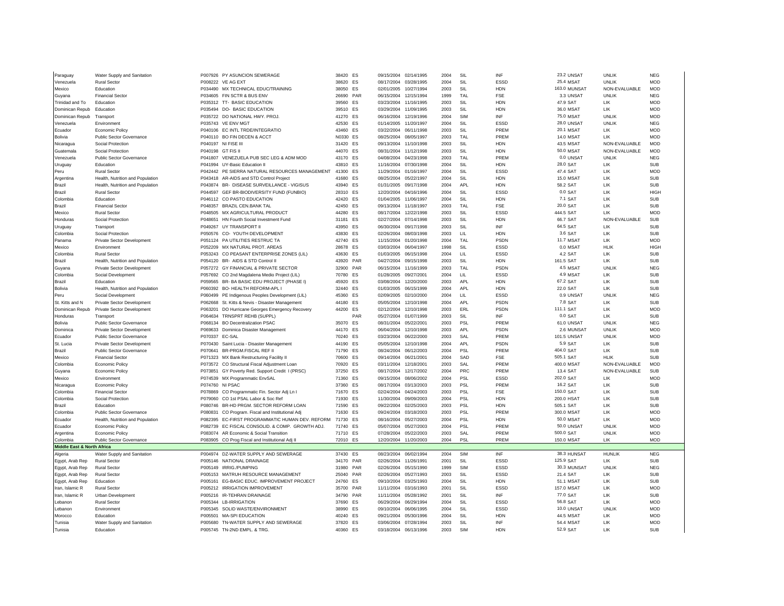| Paraguay                              | Water Supply and Sanitation      |                | P007926 PY ASUNCION SEWERAGE                                                | 38420 FS          |           | 09/15/2004 02/14/1995    |                          | 2004         | SIL                      | INF                      | 23.2 UNSAT           | <b>UNLIK</b>              | <b>NFG</b>               |
|---------------------------------------|----------------------------------|----------------|-----------------------------------------------------------------------------|-------------------|-----------|--------------------------|--------------------------|--------------|--------------------------|--------------------------|----------------------|---------------------------|--------------------------|
| Venezuela                             | <b>Rural Sector</b>              |                | P008222 VE AG EXT                                                           | 38620 ES          |           | 08/17/2004               | 03/28/1995               | 2004         | SIL                      | ESSD                     | 25.4 MSAT            | <b>UNLIK</b>              | <b>MOD</b>               |
| Mexico                                | Education                        |                | P034490 MX TECHNICAL EDUC/TRAINING                                          | 38050             | ES        | 02/01/2005               | 10/27/1994               | 2003         | SIL                      | <b>HDN</b>               | 163.0 MUNSAT         | NON-EVALUABLE             | <b>MOD</b>               |
| Guyana                                | <b>Financial Sector</b>          |                | P034605 FIN SCTR & BUS ENV                                                  | 26690             | PAR       | 06/15/2004               | 12/15/1994               | 1999         | TAL                      | <b>FSE</b>               | 3.3 UNSAT            | <b>UNLIK</b>              | <b>NEG</b>               |
| Trinidad and To                       | Education                        |                | P035312 TT- BASIC EDUCATION                                                 | 39560             | ES        | 03/23/2004               | 11/16/1995               | 2003         | SIL                      | <b>HDN</b>               | 47.9 SAT             | LIK                       | <b>MOD</b>               |
| Dominican Repub                       | Education                        |                | P035494 DO- BASIC EDUCATION                                                 | 39510 FS          |           | 03/29/2004               | 11/09/1995               | 2003         | SII                      | <b>HDN</b>               | 36.0 MSAT            | 11K                       | <b>MOD</b>               |
| Dominican Repub                       | Transport                        |                | P035722 DO NATIONAL HWY. PROJ.                                              | 41270 ES          |           | 06/16/2004               | 12/19/1996               | 2004         | SIM                      | INF                      | <b>75.0 MSAT</b>     | <b>UNLIK</b>              | <b>MOD</b>               |
| Venezuela                             | Fnvironment                      |                | P035743 VE ENV MGT                                                          | 42530 FS          |           | 01/14/2005               | 11/20/1997               | 2004         | SII                      | ESSD                     | 28.0 UNSAT           | <b>UNLIK</b>              | <b>NEG</b>               |
| Ecuador                               | <b>Economic Policy</b>           |                | P040106 EC INTL TRDE/INTEGRATIO                                             | 43460             | ES        | 03/22/2004               | 06/11/1998               | 2003         | SIL                      | PREM                     | 20.1 MSAT            | LIK                       | <b>MOD</b>               |
| Bolivia                               | Public Sector Governance         |                | P040110 BO FIN DECEN & ACCT                                                 | N0330 ES          |           | 08/25/2004               | 08/05/1997               | 2003         | TAL                      | PREM                     | <b>14.0 MSAT</b>     | LIK                       | <b>MOD</b>               |
| Nicaragua                             | Social Protection                |                | P040197 NI FISE III                                                         | 31420             | ES        | 09/13/2004               | 11/10/1998               | 2003         | SIL                      | <b>HDN</b>               | 43.5 MSAT            | NON-EVALUABLE             | <b>MOD</b>               |
| Guatemala                             | <b>Social Protection</b>         |                | P040198 GT FIS II                                                           | 44070 ES          |           | 08/31/2004               | 11/12/1998               | 2003         | SIL                      | <b>HDN</b>               | 50.0 MSAT            | NON-EVALUABLE             | <b>MOD</b>               |
| Venezuela                             | Public Sector Governance         |                | P041807 VENEZUELA PUB SEC LEG & ADM MOD                                     | 43170 ES          |           | 04/08/2004               | 04/23/1998               | 2003         | TAL                      | PREM                     | 0.0 UNSAT            | <b>UNLIK</b>              | <b>NEG</b>               |
| Uruguay                               | <b>Education</b>                 |                | P041994 UY-Basic Education II                                               | 43810 FS          |           | 11/16/2004               | 07/30/1998               | 2004         | SII                      | <b>HDN</b>               | 28.0 SAT             | 1 IK                      | <b>SUB</b>               |
| Peru                                  | <b>Rural Sector</b>              |                | P042442 PE SIERRA NATURAL RESOURCES MANAGEMENT                              | 41300 ES          |           | 11/29/2004               | 01/16/1997               | 2004         | SIL                      | <b>ESSD</b>              | 47.4 SAT             | 11K                       | <b>MOD</b>               |
| Argentina                             | Health, Nutrition and Population |                | P043418 AR-AIDS and STD Control Project                                     | 41680             | ES        | 08/25/2004               | 05/22/1997               | 2004         | SIL                      | <b>HDN</b>               | 15.0 MSAT            | LIK                       | <b>SUB</b>               |
| Brazil                                | Health, Nutrition and Population |                | P043874 BR- DISEASE SURVEILLANCE - VIGISUS                                  | 43940 ES          |           | 01/31/2005 09/17/1998    |                          | 2004         | API                      | <b>HDN</b>               | 58.2 SAT             | 11K                       | <b>SUB</b>               |
| Brazil                                | <b>Rural Sector</b>              |                | P044597 GEF BR-BIODIVERSITY FUND (FUNBIO)                                   | 28310 ES          |           | 12/20/2004               | 04/16/1996               | 2004         | SIL                      | <b>ESSD</b>              | 0.0 SAT              | 1 IK                      | <b>HIGH</b>              |
| Colombia                              | Education                        |                | P046112 CO PASTO EDUCATION                                                  | 42420 FS          |           | 01/04/2005               | 11/06/1997               | 2004         | SIL                      | <b>HDN</b>               | 7.1 SAT              | LIK                       | <b>SUB</b>               |
| Brazil                                | Financial Secto                  |                | P048357 BRAZIL CEN.BANK TAL                                                 | 42450             | <b>FS</b> | 09/13/2004               | 11/18/1997               | 2003         | TAI                      | <b>FSE</b>               | 20.0 SAT             | LIK                       | <b>SUB</b>               |
| Mexico                                | <b>Rural Sector</b>              |                | P048505 MX AGRICULTURAL PRODUCT                                             | 44280             | <b>FS</b> | 08/17/2004               | 12/22/1998               | 2003         | SIL                      | ESSD                     | 444.5 SAT            | LIK                       | <b>MOD</b>               |
| Honduras                              | Social Protection                |                | P048651 HN Fourth Social Investment Fund                                    | 31181             | ES        | 02/27/2004               | 07/14/1998               | 2003         | SIL                      | <b>HDN</b>               | 66.7 SAT             | NON-EVALUABLE             | <b>SUB</b>               |
| Uruguay                               | Transport                        |                | P049267 UY TRANSPORT II                                                     | 43950 ES          |           | 06/30/2004               | 09/17/1998               | 2003         | SIL                      | INF                      | 64.5 SAT             | LIK                       | <b>SUB</b>               |
| Colombia                              | Social Protection                |                | P050576 CO- YOUTH DEVELOPMENT                                               | 43830 ES          |           | 02/26/2004               | 08/03/1998               | 2003         | LIL                      | <b>HDN</b>               | 3.6 SAT              | LIK                       | <b>SUB</b>               |
| Panama                                | Private Sector Development       |                | P051124 PA UTILITIES RESTRUC TA                                             | 42740 ES          |           | 11/15/2004               | 01/20/1998               | 2004         | TAL                      | <b>PSDN</b>              | <b>11.7 MSAT</b>     | 11K                       | <b>MOD</b>               |
|                                       | Environment                      |                |                                                                             |                   |           |                          | 06/04/1997               | 1998         | SIL                      | ESSD                     | 0.0 MSA1             | HLIK                      | <b>HIGH</b>              |
| Mexico<br>Colombia                    | <b>Rural Sector</b>              |                | P052209 MX NATURAL PROT. AREAS<br>P053243 CO PEASANT ENTERPRISE ZONES (LIL) | 28678 ES<br>43630 | ES        | 03/03/2004<br>01/03/2005 | 06/15/1998               | 2004         | LIL                      | ESSD                     | 4.2 SAT              | LIK                       | <b>SUB</b>               |
|                                       |                                  |                |                                                                             |                   | PAR       |                          |                          |              |                          | <b>HDN</b>               | 161.5 SAT            |                           |                          |
| Brazil                                | Health, Nutrition and Population |                | P054120 BR- AIDS & STD Control II                                           | 43920             | PAR       | 04/27/2004               | 09/15/1998               | 2003         | SIL                      |                          |                      | LIK                       | <b>SUB</b>               |
| Guyana<br>Colombia                    | Private Sector Development       |                | P057272 GY FINANCIAL & PRIVATE SECTOR                                       | 32900<br>70780 FS |           | 06/15/2004<br>01/28/2005 | 11/16/1999<br>09/27/2001 | 2003<br>2004 | TAL<br>LIL               | PSDN<br>ESSD             | 4.5 MSA1<br>4.9 MSA1 | <b>UNLIK</b><br><b>IK</b> | <b>NEG</b><br><b>SUB</b> |
|                                       | Social Development               |                | P057692 CO 2nd Magdalena Medio Project (LIL)                                |                   |           |                          |                          |              |                          |                          |                      |                           |                          |
| Brazil                                | <b>Education</b>                 |                | P059565 BR- BA BASIC EDU PROJECT (PHASE I)                                  | 45920<br>32440 FS | <b>FS</b> | 03/08/2004               | 12/20/2000               | 2003         | <b>API</b><br><b>API</b> | <b>HDN</b><br><b>HDN</b> | 67.2 SAT             | 1 IK<br>11K               | <b>SUB</b><br><b>SUB</b> |
| Bolivia                               | Health, Nutrition and Population |                | P060392 BO- HEALTH REFORM-APL I                                             |                   |           | 01/03/2005               | 06/15/1999               | 2004         |                          |                          | 22.0 SAT             |                           |                          |
| Peru                                  | Social Development               |                | P060499 PE Indigenous Peoples Development (LIL)                             | 45360             | ES        | 02/09/2005 02/10/2000    |                          | 2004         | LIL                      | ESSD                     | 0.9 UNSAT            | <b>UNLIK</b>              | <b>NEG</b>               |
|                                       |                                  |                |                                                                             |                   |           |                          |                          |              |                          |                          |                      |                           |                          |
| St. Kitts and N                       | Private Sector Development       |                | P062668 St. Kitts & Nevis - Disaster Management                             | 44180 FS          |           | 05/05/2004               | 12/10/1998               | 2004         | <b>APL</b>               | PSDN                     | 7.8 SAT              | 11K                       | <b>SUB</b>               |
| Dominican Repub                       | Private Sector Development       | P063201        | DO Hurricane Georges Emergency Recovery                                     | 44200 ES          |           | 02/12/2004               | 12/10/1998               | 2003         | <b>ERL</b>               | PSDN                     | 111.1 SAT            | LIK                       | <b>MOD</b>               |
| Honduras                              | Transport                        |                | P064634 TRNSPRT REHB (SUPPL)                                                |                   | PAR       | 05/27/2004               | 01/07/1999               | 2003         | SIL                      | INF                      | 0.0 SAT              | 11K                       | SUB                      |
| Bolivia                               | <b>Public Sector Governance</b>  |                | P068134 BO Decentralization PSAC                                            | 35070             | ES        | 08/31/2004               | 05/22/2001               | 2003         | PSL                      | PREM                     | 61.0 UNSAT           | <b>UNLIK</b>              | <b>NFG</b>               |
| Dominica                              | Private Sector Development       |                | P069633 Dominica Disaster Management                                        | 44170 ES          |           | 06/04/2004               | 12/10/1998               | 2003         | <b>APL</b>               | <b>PSDN</b>              | 2.6 MUNSAT           | <b>UNLIK</b>              | <b>MOD</b>               |
| Ecuador                               | Public Sector Governance         | P070337 EC-SAL |                                                                             | 70240 ES          |           | 03/23/2004               | 06/22/2000               | 2003         | SAL                      | PREM                     | <b>101.5 UNSAT</b>   | <b>UNLIK</b>              | <b>MOD</b>               |
| St. Lucia                             | Private Sector Development       |                | P070430 Saint Lucia - Disaster Management                                   | 44190 ES          |           | 05/05/2004               | 12/10/1998               | 2004         | <b>APL</b>               | PSDN                     | <b>5.9 SAT</b>       | LIK                       | <b>SUB</b>               |
| Brazil                                | <b>Public Sector Governance</b>  | P070641        | BR-PRGM.FISCAL REF II                                                       | 71790 ES          |           | 08/24/2004               | 06/12/2003               | 2004         | PSI                      | PREM                     | 404.0 SAT            | 11K                       | <b>SUB</b>               |
| Mexico                                | <b>Financial Sector</b>          |                | P071323 MX Bank Restructuring Facility II                                   | 70600 ES          |           | 09/14/2004 06/21/2001    |                          | 2004         | SAD                      | FSE                      | 505.1 SAT            | HI IK                     | <b>SUB</b>               |
| Colombia                              | <b>Economic Policy</b>           |                | P073572 CO Structural Fiscal Adjustment Loan                                | 70920             | ES        | 03/11/2004               | 12/18/2001               | 2003         | SAL                      | PREM                     | 400.0 MSA            | NON-EVALUABLE             | <b>MOD</b>               |
| Guyana                                | <b>Economic Policy</b>           |                | P073851 GY Poverty Red. Support Credit 1 (PRSC)                             | 37250             | <b>FS</b> | 08/17/2004               | 12/17/2002               | 2004         | PR <sub>C</sub>          | PREM                     | 13.4 SAT             | NON-EVALUABLE             | <b>SUB</b>               |
| Mexico                                | Environment                      |                | P074539 MX Programmatic EnvSAL                                              | 71360             | ES        | 09/15/2004               | 08/06/2002               | 2004         | PSL                      | ESSD                     | 202.0 SAT            | <b>IIK</b>                | <b>MOD</b>               |
| Nicaragua                             | Economic Policy                  |                | P074760 NI PSAC                                                             | 37360             | ES        | 08/17/2004               | 03/13/2003               | 2003         | PSL                      | PREM                     | 16.2 SAT             | LIK                       | <b>SUB</b>               |
| Colombia                              | Financial Sector                 |                | P078869 CO Programmatic Fin. Sector Adj Ln I                                | 71670 ES          |           | 02/24/2004               | 04/24/2003               | 2003         | PSI                      | <b>FSE</b>               | 150.0 SAT            | <b>IK</b>                 | <b>SUB</b>               |
| Colombia                              | Social Protection                |                | P079060 CO 1st PSAL Labor & Soc Ref                                         | 71930 ES          |           | 11/30/2004               | 09/09/2003               | 2004         | PSL                      | <b>HDN</b>               | 200.0 HSAT           | LIK                       | <b>SUB</b>               |
| Brazil                                | Education                        |                | P080746 BR-HD PRGM. SECTOR REFORM LOAN                                      | 71590 FS          |           | 09/22/2004               | 02/25/2003               | 2003         | PSI                      | <b>HDN</b>               | 505.1 SAT            | LIK                       | <b>SUB</b>               |
| Colombia                              | <b>Public Sector Governance</b>  | P080831        | CO Program. Fiscal and Institutional Adj                                    | 71630 ES          |           | 09/24/2004               | 03/18/2003               | 2003         | PSL                      | PREM                     | 300.0 MSAT           | 11K                       | <b>MOD</b>               |
| Ecuador                               | Health, Nutrition and Population |                | P082395 EC-FIRST PROGRAMMATIC HUMAN DEV. REFORM                             | 71730 ES          |           | 08/16/2004 05/27/2003    |                          | 2004         | <b>PSL</b>               | <b>HDN</b>               | <b>50.0 MSAT</b>     | LIK                       | <b>MOD</b>               |
| Ecuador                               | <b>Economic Policy</b>           |                | P082739 EC FISCAL CONSOLID. & COMP. GROWTH ADJ.                             | 71740 ES          |           | 05/07/2004               | 05/27/2003               | 2004         | PSL                      | PREM                     | 50.0 UNSAT           | <b>UNLIK</b>              | <b>MOD</b>               |
| Argentina                             | Economic Policy                  |                | P083074 AR Economic & Social Transition                                     | 71710 ES          |           | 07/28/2004               | 05/22/2003               | 2003         | SAL                      | PREM                     | 500.0 SAT            | <b>UNLIK</b>              | <b>MOD</b>               |
| Colombia                              | <b>Public Sector Governance</b>  |                | P083905 CO Prog Fiscal and Institutional Adj II                             | 72010 ES          |           | 12/20/2004               | 11/20/2003               | 2004         | <b>PSL</b>               | PREM                     | <b>150.0 MSAT</b>    | LIK                       | <b>MOD</b>               |
| <b>Middle East &amp; North Africa</b> |                                  |                |                                                                             |                   |           |                          |                          |              |                          |                          |                      |                           |                          |
| Algeria                               | Water Supply and Sanitation      |                | P004974 DZ-WATER SUPPLY AND SEWERAGE                                        | 37430 ES          |           | 08/23/2004               | 06/02/1994               | 2004         | <b>SIM</b>               | INF                      | 38.3 HUNSAT          | <b>HUNLIK</b>             | <b>NEG</b>               |
| Egypt, Arab Rep                       | Rural Secto                      |                | P005146 NATIONAL DRAINAGE                                                   | 34170 PAR         |           | 02/26/2004               | 11/26/1991               | 2001         | SII                      | ESSD                     | 125.9 SAT            | 1 IK                      | <b>SUB</b>               |
| Egypt, Arab Rep                       | <b>Rural Sector</b>              |                | P005149 IRRIG./PUMPING                                                      | 31980 PAR         |           | 02/26/2004               | 05/15/1990               | 1999         | SIM                      | <b>ESSD</b>              | 30.3 MUNSAT          | <b>UNLIK</b>              | <b>NEG</b>               |
| Egypt, Arab Rep                       | <b>Rural Sector</b>              |                | P005153 MATRUH RESOURCE MANAGEMENT                                          | 25040             | PAR       | 02/26/2004               | 05/27/1993               | 2003         | SIL                      | ESSD                     | 21.4 SAT             | <b>IK</b>                 | <b>SUB</b>               |
| Egypt, Arab Rep                       | Education                        |                | P005161 EG-BASIC EDUC. IMPROVEMENT PROJECT                                  | 24760             | <b>FS</b> | 09/10/2004               | 03/25/1993               | 2004         | SIL                      | <b>HDN</b>               | 51.1 MSAT            | 11K                       | <b>SUB</b>               |
| Iran, Islamic R                       | <b>Rural Sector</b>              |                | P005212 IRRIGATION IMPROVEMENT                                              | 35700 PAR         |           | 11/11/2004               | 03/16/1993               | 2001         | SII                      | <b>ESSD</b>              | 157.0 MSAT           | 1 IK                      | <b>MOD</b>               |
| Iran, Islamic R                       | Urban Development                |                | P005216 IR-TEHRAN DRAINAGE                                                  | 34790             | PAR       | 11/11/2004               | 05/28/1992               | 2001         | SIL                      | INF                      | 77.0 SAT             | 11K                       | <b>SUB</b>               |
| ebanon                                | <b>Rural Sector</b>              |                | P005344 LB-IRRIGATION                                                       | 37690             | ES        | 06/29/2004               | 06/29/1994               | 2004         | SIL                      | ESSD                     | 56.8 SAT             | LIK                       | <b>MOD</b>               |
| ebanon                                | Fnvironmen                       |                | P005345 SOLID WASTE/ENVIRONMENT                                             | 38990             | <b>FS</b> | 09/10/2004               | 06/06/1995               | 2004         | SIL                      | ESSD                     | 10.0 UNSAT           | <b>UNLIK</b>              | <b>MOD</b>               |
| Moroccc                               | Education                        | P005501        | <b>MA-SPI EDUCATION</b>                                                     | 40240             | ES        | 09/21/2004               | 05/30/1996               | 2004         | SIL                      | <b>HDN</b>               | 44.5 MSAT            | LIK                       | <b>MOD</b>               |
| Tunisia                               | Water Supply and Sanitation      |                | P005680 TN-WATER SUPPLY AND SEWERAGE                                        | 37820 ES          |           | 03/06/2004 07/28/1994    |                          | 2003         | SIL                      | INF                      | 54.4 MSAT            | LIK                       | <b>MOD</b>               |